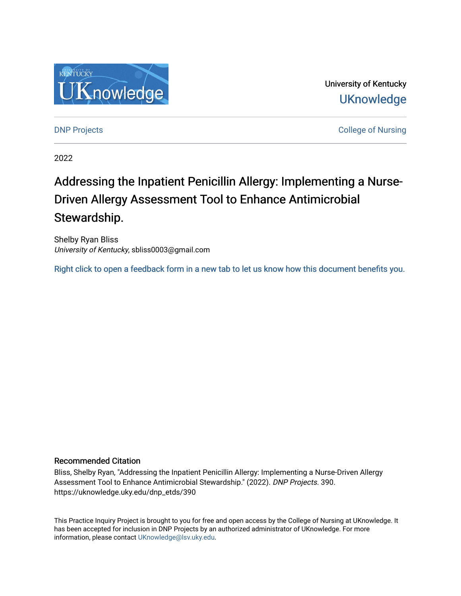

University of Kentucky **UKnowledge** 

**DNP Projects** College of Nursing

2022

# Addressing the Inpatient Penicillin Allergy: Implementing a Nurse-Driven Allergy Assessment Tool to Enhance Antimicrobial Stewardship.

Shelby Ryan Bliss University of Kentucky, sbliss0003@gmail.com

[Right click to open a feedback form in a new tab to let us know how this document benefits you.](https://uky.az1.qualtrics.com/jfe/form/SV_9mq8fx2GnONRfz7)

#### Recommended Citation

Bliss, Shelby Ryan, "Addressing the Inpatient Penicillin Allergy: Implementing a Nurse-Driven Allergy Assessment Tool to Enhance Antimicrobial Stewardship." (2022). DNP Projects. 390. https://uknowledge.uky.edu/dnp\_etds/390

This Practice Inquiry Project is brought to you for free and open access by the College of Nursing at UKnowledge. It has been accepted for inclusion in DNP Projects by an authorized administrator of UKnowledge. For more information, please contact [UKnowledge@lsv.uky.edu](mailto:UKnowledge@lsv.uky.edu).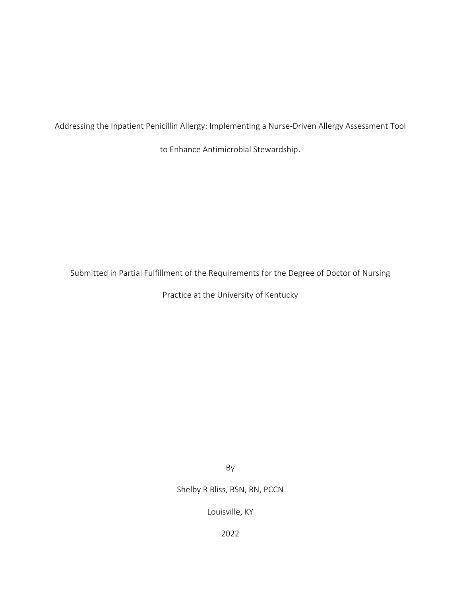Addressing the Inpatient Penicillin Allergy: Implementing a Nurse-Driven Allergy Assessment Tool

to Enhance Antimicrobial Stewardship.

Submitted in Partial Fulfillment of the Requirements for the Degree of Doctor of Nursing

Practice at the University of Kentucky

By

Shelby R Bliss, BSN, RN, PCCN

Louisville, KY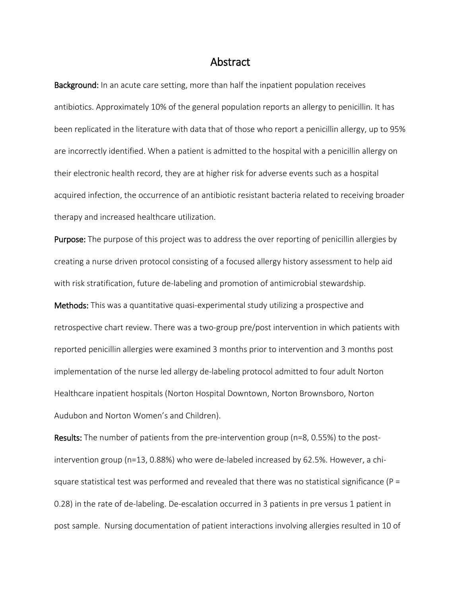### Abstract

Background: In an acute care setting, more than half the inpatient population receives antibiotics. Approximately 10% of the general population reports an allergy to penicillin. It has been replicated in the literature with data that of those who report a penicillin allergy, up to 95% are incorrectly identified. When a patient is admitted to the hospital with a penicillin allergy on their electronic health record, they are at higher risk for adverse events such as a hospital acquired infection, the occurrence of an antibiotic resistant bacteria related to receiving broader therapy and increased healthcare utilization.

Purpose: The purpose of this project was to address the over reporting of penicillin allergies by creating a nurse driven protocol consisting of a focused allergy history assessment to help aid with risk stratification, future de-labeling and promotion of antimicrobial stewardship. Methods: This was a quantitative quasi-experimental study utilizing a prospective and retrospective chart review. There was a two-group pre/post intervention in which patients with reported penicillin allergies were examined 3 months prior to intervention and 3 months post implementation of the nurse led allergy de-labeling protocol admitted to four adult Norton Healthcare inpatient hospitals (Norton Hospital Downtown, Norton Brownsboro, Norton Audubon and Norton Women's and Children).

Results: The number of patients from the pre-intervention group (n=8, 0.55%) to the postintervention group (n=13, 0.88%) who were de-labeled increased by 62.5%. However, a chisquare statistical test was performed and revealed that there was no statistical significance ( $P =$ 0.28) in the rate of de-labeling. De-escalation occurred in 3 patients in pre versus 1 patient in post sample. Nursing documentation of patient interactions involving allergies resulted in 10 of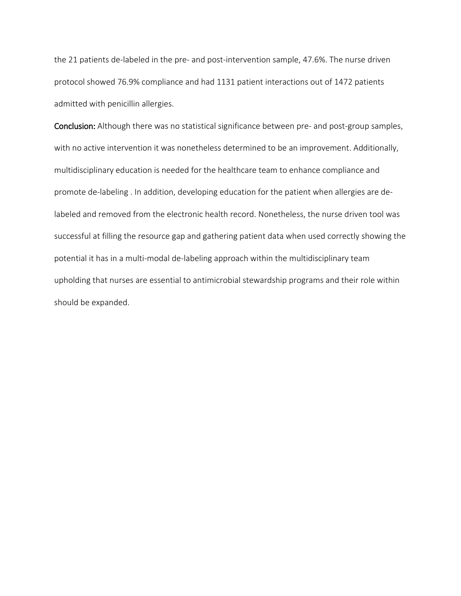the 21 patients de-labeled in the pre- and post-intervention sample, 47.6%. The nurse driven protocol showed 76.9% compliance and had 1131 patient interactions out of 1472 patients admitted with penicillin allergies.

Conclusion: Although there was no statistical significance between pre- and post-group samples, with no active intervention it was nonetheless determined to be an improvement. Additionally, multidisciplinary education is needed for the healthcare team to enhance compliance and promote de-labeling . In addition, developing education for the patient when allergies are delabeled and removed from the electronic health record. Nonetheless, the nurse driven tool was successful at filling the resource gap and gathering patient data when used correctly showing the potential it has in a multi-modal de-labeling approach within the multidisciplinary team upholding that nurses are essential to antimicrobial stewardship programs and their role within should be expanded.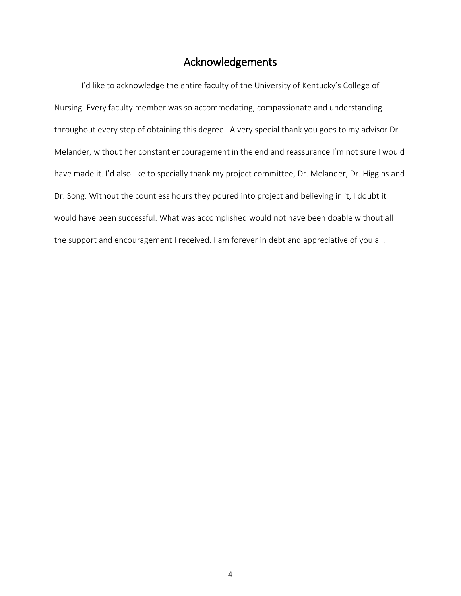# Acknowledgements

<span id="page-4-0"></span>I'd like to acknowledge the entire faculty of the University of Kentucky's College of Nursing. Every faculty member was so accommodating, compassionate and understanding throughout every step of obtaining this degree. A very special thank you goes to my advisor Dr. Melander, without her constant encouragement in the end and reassurance I'm not sure I would have made it. I'd also like to specially thank my project committee, Dr. Melander, Dr. Higgins and Dr. Song. Without the countless hours they poured into project and believing in it, I doubt it would have been successful. What was accomplished would not have been doable without all the support and encouragement I received. I am forever in debt and appreciative of you all.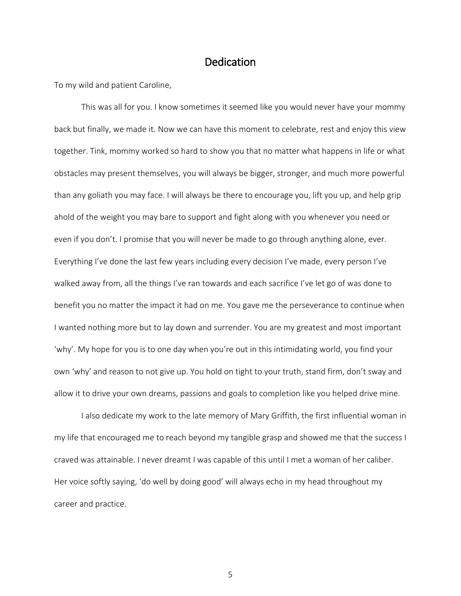# **Dedication**

<span id="page-5-0"></span>To my wild and patient Caroline,

This was all for you. I know sometimes it seemed like you would never have your mommy back but finally, we made it. Now we can have this moment to celebrate, rest and enjoy this view together. Tink, mommy worked so hard to show you that no matter what happens in life or what obstacles may present themselves, you will always be bigger, stronger, and much more powerful than any goliath you may face. I will always be there to encourage you, lift you up, and help grip ahold of the weight you may bare to support and fight along with you whenever you need or even if you don't. I promise that you will never be made to go through anything alone, ever. Everything I've done the last few years including every decision I've made, every person I've walked away from, all the things I've ran towards and each sacrifice I've let go of was done to benefit you no matter the impact it had on me. You gave me the perseverance to continue when I wanted nothing more but to lay down and surrender. You are my greatest and most important 'why'. My hope for you is to one day when you're out in this intimidating world, you find your own 'why' and reason to not give up. You hold on tight to your truth, stand firm, don't sway and allow it to drive your own dreams, passions and goals to completion like you helped drive mine.

I also dedicate my work to the late memory of Mary Griffith, the first influential woman in my life that encouraged me to reach beyond my tangible grasp and showed me that the success I craved was attainable. I never dreamt I was capable of this until I met a woman of her caliber. Her voice softly saying, 'do well by doing good' will always echo in my head throughout my career and practice.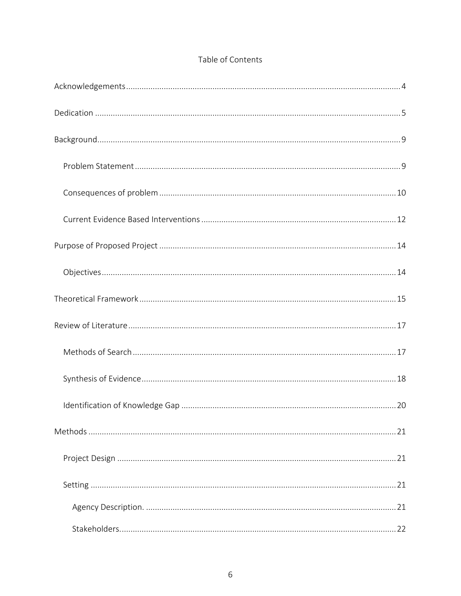## Table of Contents

| . 22 |
|------|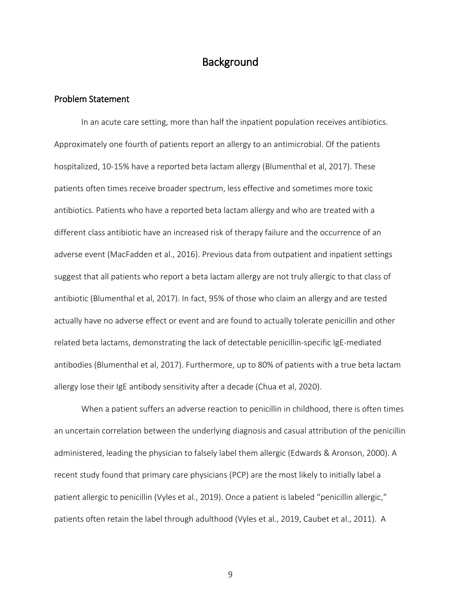# **Background**

#### <span id="page-9-1"></span><span id="page-9-0"></span>Problem Statement

In an acute care setting, more than half the inpatient population receives antibiotics. Approximately one fourth of patients report an allergy to an antimicrobial. Of the patients hospitalized, 10-15% have a reported beta lactam allergy (Blumenthal et al, 2017). These patients often times receive broader spectrum, less effective and sometimes more toxic antibiotics. Patients who have a reported beta lactam allergy and who are treated with a different class antibiotic have an increased risk of therapy failure and the occurrence of an adverse event (MacFadden et al., 2016). Previous data from outpatient and inpatient settings suggest that all patients who report a beta lactam allergy are not truly allergic to that class of antibiotic (Blumenthal et al, 2017). In fact, 95% of those who claim an allergy and are tested actually have no adverse effect or event and are found to actually tolerate penicillin and other related beta lactams, demonstrating the lack of detectable penicillin-specific IgE-mediated antibodies (Blumenthal et al, 2017). Furthermore, up to 80% of patients with a true beta lactam allergy lose their IgE antibody sensitivity after a decade (Chua et al, 2020).

When a patient suffers an adverse reaction to penicillin in childhood, there is often times an uncertain correlation between the underlying diagnosis and casual attribution of the penicillin administered, leading the physician to falsely label them allergic (Edwards & Aronson, 2000). A recent study found that primary care physicians (PCP) are the most likely to initially label a patient allergic to penicillin (Vyles et al., 2019). Once a patient is labeled "penicillin allergic," patients often retain the label through adulthood (Vyles et al., 2019, Caubet et al., 2011). A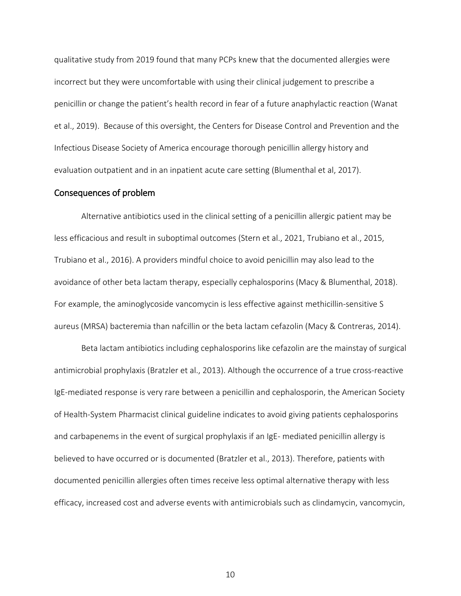qualitative study from 2019 found that many PCPs knew that the documented allergies were incorrect but they were uncomfortable with using their clinical judgement to prescribe a penicillin or change the patient's health record in fear of a future anaphylactic reaction (Wanat et al., 2019). Because of this oversight, the Centers for Disease Control and Prevention and the Infectious Disease Society of America encourage thorough penicillin allergy history and evaluation outpatient and in an inpatient acute care setting (Blumenthal et al, 2017).

#### <span id="page-10-0"></span>Consequences of problem

Alternative antibiotics used in the clinical setting of a penicillin allergic patient may be less efficacious and result in suboptimal outcomes (Stern et al., 2021, Trubiano et al., 2015, Trubiano et al., 2016). A providers mindful choice to avoid penicillin may also lead to the avoidance of other beta lactam therapy, especially cephalosporins (Macy & Blumenthal, 2018). For example, the aminoglycoside vancomycin is less effective against methicillin-sensitive S aureus (MRSA) bacteremia than nafcillin or the beta lactam cefazolin (Macy & Contreras, 2014).

Beta lactam antibiotics including cephalosporins like cefazolin are the mainstay of surgical antimicrobial prophylaxis (Bratzler et al., 2013). Although the occurrence of a true cross-reactive IgE-mediated response is very rare between a penicillin and cephalosporin, the American Society of Health-System Pharmacist clinical guideline indicates to avoid giving patients cephalosporins and carbapenems in the event of surgical prophylaxis if an IgE- mediated penicillin allergy is believed to have occurred or is documented (Bratzler et al., 2013). Therefore, patients with documented penicillin allergies often times receive less optimal alternative therapy with less efficacy, increased cost and adverse events with antimicrobials such as clindamycin, vancomycin,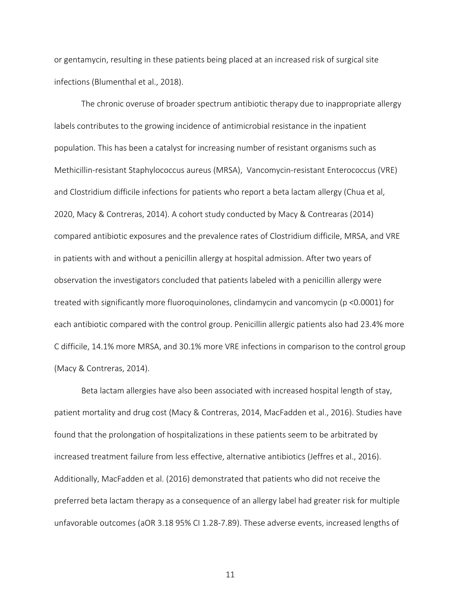or gentamycin, resulting in these patients being placed at an increased risk of surgical site infections (Blumenthal et al., 2018).

The chronic overuse of broader spectrum antibiotic therapy due to inappropriate allergy labels contributes to the growing incidence of antimicrobial resistance in the inpatient population. This has been a catalyst for increasing number of resistant organisms such as Methicillin-resistant Staphylococcus aureus (MRSA), Vancomycin-resistant Enterococcus (VRE) and Clostridium difficile infections for patients who report a beta lactam allergy (Chua et al, 2020, Macy & Contreras, 2014). A cohort study conducted by Macy & Contrearas (2014) compared antibiotic exposures and the prevalence rates of Clostridium difficile, MRSA, and VRE in patients with and without a penicillin allergy at hospital admission. After two years of observation the investigators concluded that patients labeled with a penicillin allergy were treated with significantly more fluoroquinolones, clindamycin and vancomycin (p <0.0001) for each antibiotic compared with the control group. Penicillin allergic patients also had 23.4% more C difficile, 14.1% more MRSA, and 30.1% more VRE infections in comparison to the control group (Macy & Contreras, 2014).

Beta lactam allergies have also been associated with increased hospital length of stay, patient mortality and drug cost (Macy & Contreras, 2014, MacFadden et al., 2016). Studies have found that the prolongation of hospitalizations in these patients seem to be arbitrated by increased treatment failure from less effective, alternative antibiotics (Jeffres et al., 2016). Additionally, MacFadden et al. (2016) demonstrated that patients who did not receive the preferred beta lactam therapy as a consequence of an allergy label had greater risk for multiple unfavorable outcomes (aOR 3.18 95% CI 1.28-7.89). These adverse events, increased lengths of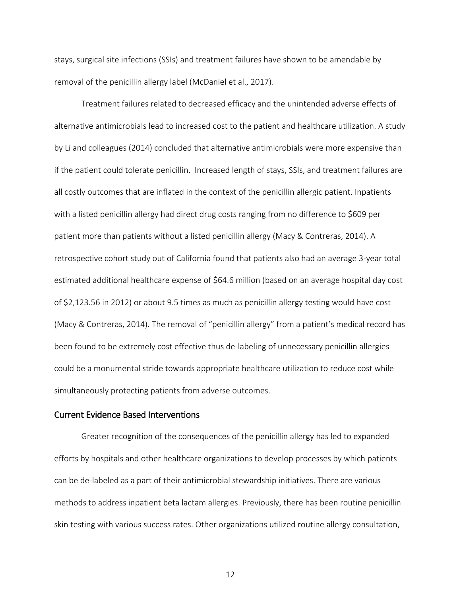stays, surgical site infections (SSIs) and treatment failures have shown to be amendable by removal of the penicillin allergy label (McDaniel et al., 2017).

Treatment failures related to decreased efficacy and the unintended adverse effects of alternative antimicrobials lead to increased cost to the patient and healthcare utilization. A study by Li and colleagues (2014) concluded that alternative antimicrobials were more expensive than if the patient could tolerate penicillin. Increased length of stays, SSIs, and treatment failures are all costly outcomes that are inflated in the context of the penicillin allergic patient. Inpatients with a listed penicillin allergy had direct drug costs ranging from no difference to \$609 per patient more than patients without a listed penicillin allergy (Macy & Contreras, 2014). A retrospective cohort study out of California found that patients also had an average 3-year total estimated additional healthcare expense of \$64.6 million (based on an average hospital day cost of \$2,123.56 in 2012) or about 9.5 times as much as penicillin allergy testing would have cost (Macy & Contreras, 2014). The removal of "penicillin allergy" from a patient's medical record has been found to be extremely cost effective thus de-labeling of unnecessary penicillin allergies could be a monumental stride towards appropriate healthcare utilization to reduce cost while simultaneously protecting patients from adverse outcomes.

#### <span id="page-12-0"></span>Current Evidence Based Interventions

Greater recognition of the consequences of the penicillin allergy has led to expanded efforts by hospitals and other healthcare organizations to develop processes by which patients can be de-labeled as a part of their antimicrobial stewardship initiatives. There are various methods to address inpatient beta lactam allergies. Previously, there has been routine penicillin skin testing with various success rates. Other organizations utilized routine allergy consultation,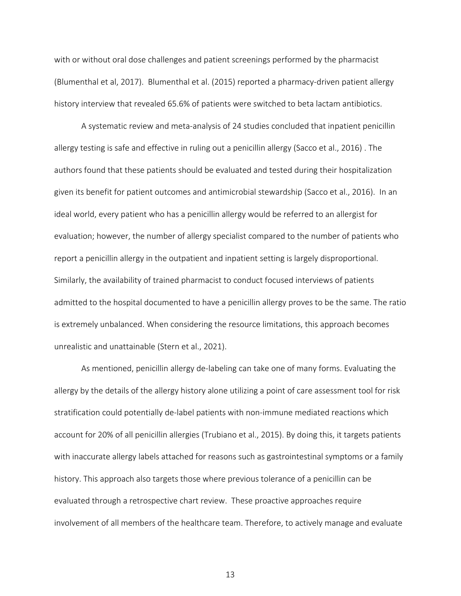with or without oral dose challenges and patient screenings performed by the pharmacist (Blumenthal et al, 2017). Blumenthal et al. (2015) reported a pharmacy-driven patient allergy history interview that revealed 65.6% of patients were switched to beta lactam antibiotics.

A systematic review and meta-analysis of 24 studies concluded that inpatient penicillin allergy testing is safe and effective in ruling out a penicillin allergy (Sacco et al., 2016) . The authors found that these patients should be evaluated and tested during their hospitalization given its benefit for patient outcomes and antimicrobial stewardship (Sacco et al., 2016). In an ideal world, every patient who has a penicillin allergy would be referred to an allergist for evaluation; however, the number of allergy specialist compared to the number of patients who report a penicillin allergy in the outpatient and inpatient setting is largely disproportional. Similarly, the availability of trained pharmacist to conduct focused interviews of patients admitted to the hospital documented to have a penicillin allergy proves to be the same. The ratio is extremely unbalanced. When considering the resource limitations, this approach becomes unrealistic and unattainable (Stern et al., 2021).

As mentioned, penicillin allergy de-labeling can take one of many forms. Evaluating the allergy by the details of the allergy history alone utilizing a point of care assessment tool for risk stratification could potentially de-label patients with non-immune mediated reactions which account for 20% of all penicillin allergies (Trubiano et al., 2015). By doing this, it targets patients with inaccurate allergy labels attached for reasons such as gastrointestinal symptoms or a family history. This approach also targets those where previous tolerance of a penicillin can be evaluated through a retrospective chart review. These proactive approaches require involvement of all members of the healthcare team. Therefore, to actively manage and evaluate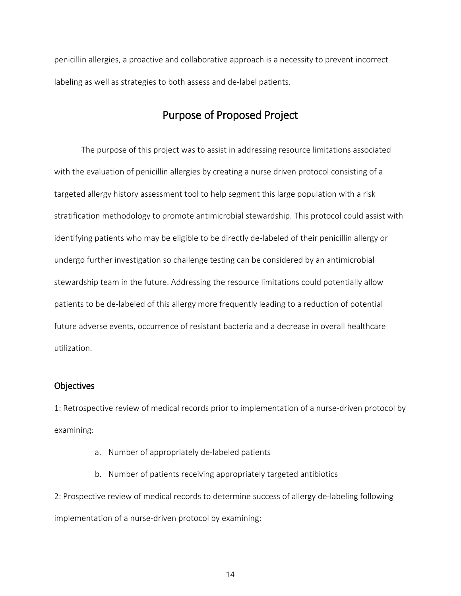<span id="page-14-0"></span>penicillin allergies, a proactive and collaborative approach is a necessity to prevent incorrect labeling as well as strategies to both assess and de-label patients.

# Purpose of Proposed Project

The purpose of this project was to assist in addressing resource limitations associated with the evaluation of penicillin allergies by creating a nurse driven protocol consisting of a targeted allergy history assessment tool to help segment this large population with a risk stratification methodology to promote antimicrobial stewardship. This protocol could assist with identifying patients who may be eligible to be directly de-labeled of their penicillin allergy or undergo further investigation so challenge testing can be considered by an antimicrobial stewardship team in the future. Addressing the resource limitations could potentially allow patients to be de-labeled of this allergy more frequently leading to a reduction of potential future adverse events, occurrence of resistant bacteria and a decrease in overall healthcare utilization.

#### <span id="page-14-1"></span>**Objectives**

1: Retrospective review of medical records prior to implementation of a nurse-driven protocol by examining:

- a. Number of appropriately de-labeled patients
- b. Number of patients receiving appropriately targeted antibiotics

2: Prospective review of medical records to determine success of allergy de-labeling following implementation of a nurse-driven protocol by examining: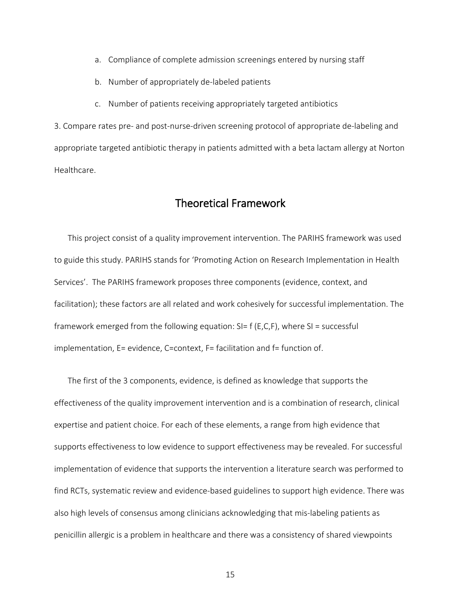- a. Compliance of complete admission screenings entered by nursing staff
- b. Number of appropriately de-labeled patients
- c. Number of patients receiving appropriately targeted antibiotics

3. Compare rates pre- and post-nurse-driven screening protocol of appropriate de-labeling and appropriate targeted antibiotic therapy in patients admitted with a beta lactam allergy at Norton Healthcare.

# Theoretical Framework

<span id="page-15-0"></span>This project consist of a quality improvement intervention. The PARIHS framework was used to guide this study. PARIHS stands for 'Promoting Action on Research Implementation in Health Services'. The PARIHS framework proposes three components (evidence, context, and facilitation); these factors are all related and work cohesively for successful implementation. The framework emerged from the following equation:  $SI = f(E, C, F)$ , where  $SI = successful$ implementation, E= evidence, C=context, F= facilitation and f= function of.

The first of the 3 components, evidence, is defined as knowledge that supports the effectiveness of the quality improvement intervention and is a combination of research, clinical expertise and patient choice. For each of these elements, a range from high evidence that supports effectiveness to low evidence to support effectiveness may be revealed. For successful implementation of evidence that supports the intervention a literature search was performed to find RCTs, systematic review and evidence-based guidelines to support high evidence. There was also high levels of consensus among clinicians acknowledging that mis-labeling patients as penicillin allergic is a problem in healthcare and there was a consistency of shared viewpoints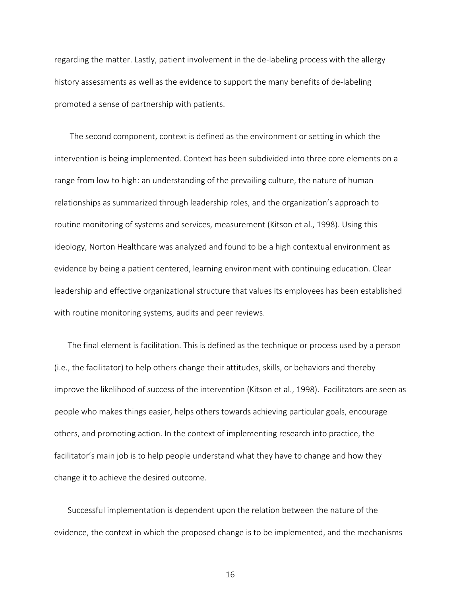regarding the matter. Lastly, patient involvement in the de-labeling process with the allergy history assessments as well as the evidence to support the many benefits of de-labeling promoted a sense of partnership with patients.

The second component, context is defined as the environment or setting in which the intervention is being implemented. Context has been subdivided into three core elements on a range from low to high: an understanding of the prevailing culture, the nature of human relationships as summarized through leadership roles, and the organization's approach to routine monitoring of systems and services, measurement (Kitson et al., 1998). Using this ideology, Norton Healthcare was analyzed and found to be a high contextual environment as evidence by being a patient centered, learning environment with continuing education. Clear leadership and effective organizational structure that values its employees has been established with routine monitoring systems, audits and peer reviews.

The final element is facilitation. This is defined as the technique or process used by a person (i.e., the facilitator) to help others change their attitudes, skills, or behaviors and thereby improve the likelihood of success of the intervention (Kitson et al., 1998). Facilitators are seen as people who makes things easier, helps others towards achieving particular goals, encourage others, and promoting action. In the context of implementing research into practice, the facilitator's main job is to help people understand what they have to change and how they change it to achieve the desired outcome.

Successful implementation is dependent upon the relation between the nature of the evidence, the context in which the proposed change is to be implemented, and the mechanisms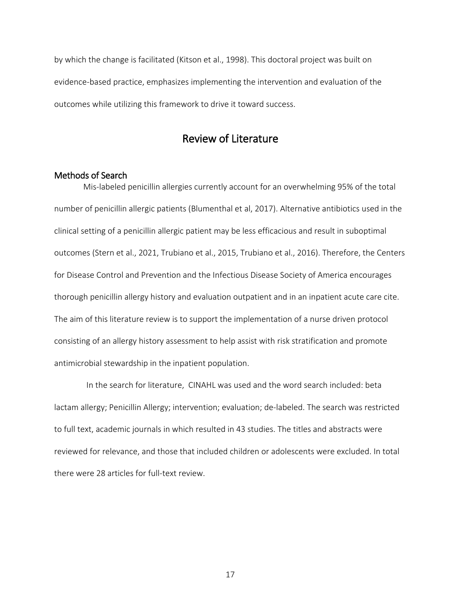by which the change is facilitated (Kitson et al., 1998). This doctoral project was built on evidence-based practice, emphasizes implementing the intervention and evaluation of the outcomes while utilizing this framework to drive it toward success.

# Review of Literature

#### <span id="page-17-1"></span><span id="page-17-0"></span>Methods of Search

 Mis-labeled penicillin allergies currently account for an overwhelming 95% of the total number of penicillin allergic patients (Blumenthal et al, 2017). Alternative antibiotics used in the clinical setting of a penicillin allergic patient may be less efficacious and result in suboptimal outcomes (Stern et al., 2021, Trubiano et al., 2015, Trubiano et al., 2016). Therefore, the Centers for Disease Control and Prevention and the Infectious Disease Society of America encourages thorough penicillin allergy history and evaluation outpatient and in an inpatient acute care cite. The aim of this literature review is to support the implementation of a nurse driven protocol consisting of an allergy history assessment to help assist with risk stratification and promote antimicrobial stewardship in the inpatient population.

In the search for literature, CINAHL was used and the word search included: beta lactam allergy; Penicillin Allergy; intervention; evaluation; de-labeled. The search was restricted to full text, academic journals in which resulted in 43 studies. The titles and abstracts were reviewed for relevance, and those that included children or adolescents were excluded. In total there were 28 articles for full-text review.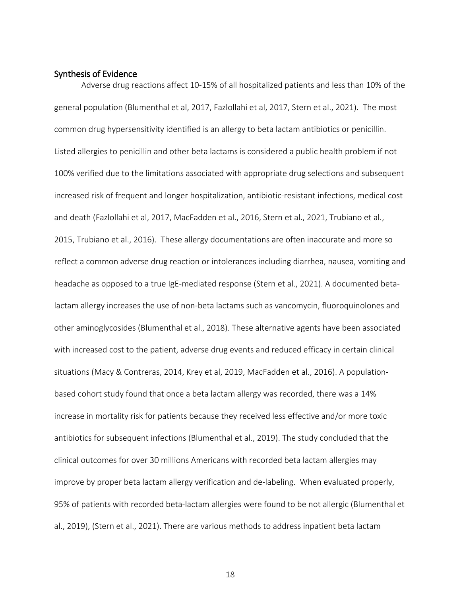#### <span id="page-18-0"></span>Synthesis of Evidence

Adverse drug reactions affect 10-15% of all hospitalized patients and less than 10% of the general population (Blumenthal et al, 2017, Fazlollahi et al, 2017, Stern et al., 2021). The most common drug hypersensitivity identified is an allergy to beta lactam antibiotics or penicillin. Listed allergies to penicillin and other beta lactams is considered a public health problem if not 100% verified due to the limitations associated with appropriate drug selections and subsequent increased risk of frequent and longer hospitalization, antibiotic-resistant infections, medical cost and death (Fazlollahi et al, 2017, MacFadden et al., 2016, Stern et al., 2021, Trubiano et al., 2015, Trubiano et al., 2016). These allergy documentations are often inaccurate and more so reflect a common adverse drug reaction or intolerances including diarrhea, nausea, vomiting and headache as opposed to a true IgE-mediated response (Stern et al., 2021). A documented betalactam allergy increases the use of non-beta lactams such as vancomycin, fluoroquinolones and other aminoglycosides (Blumenthal et al., 2018). These alternative agents have been associated with increased cost to the patient, adverse drug events and reduced efficacy in certain clinical situations (Macy & Contreras, 2014, Krey et al, 2019, MacFadden et al., 2016). A populationbased cohort study found that once a beta lactam allergy was recorded, there was a 14% increase in mortality risk for patients because they received less effective and/or more toxic antibiotics for subsequent infections (Blumenthal et al., 2019). The study concluded that the clinical outcomes for over 30 millions Americans with recorded beta lactam allergies may improve by proper beta lactam allergy verification and de-labeling. When evaluated properly, 95% of patients with recorded beta-lactam allergies were found to be not allergic (Blumenthal et al., 2019), (Stern et al., 2021). There are various methods to address inpatient beta lactam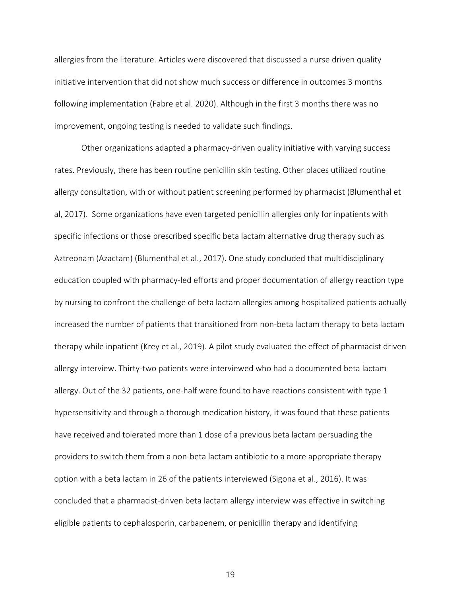allergies from the literature. Articles were discovered that discussed a nurse driven quality initiative intervention that did not show much success or difference in outcomes 3 months following implementation (Fabre et al. 2020). Although in the first 3 months there was no improvement, ongoing testing is needed to validate such findings.

Other organizations adapted a pharmacy-driven quality initiative with varying success rates. Previously, there has been routine penicillin skin testing. Other places utilized routine allergy consultation, with or without patient screening performed by pharmacist (Blumenthal et al, 2017). Some organizations have even targeted penicillin allergies only for inpatients with specific infections or those prescribed specific beta lactam alternative drug therapy such as Aztreonam (Azactam) (Blumenthal et al., 2017). One study concluded that multidisciplinary education coupled with pharmacy-led efforts and proper documentation of allergy reaction type by nursing to confront the challenge of beta lactam allergies among hospitalized patients actually increased the number of patients that transitioned from non-beta lactam therapy to beta lactam therapy while inpatient (Krey et al., 2019). A pilot study evaluated the effect of pharmacist driven allergy interview. Thirty-two patients were interviewed who had a documented beta lactam allergy. Out of the 32 patients, one-half were found to have reactions consistent with type 1 hypersensitivity and through a thorough medication history, it was found that these patients have received and tolerated more than 1 dose of a previous beta lactam persuading the providers to switch them from a non-beta lactam antibiotic to a more appropriate therapy option with a beta lactam in 26 of the patients interviewed (Sigona et al., 2016). It was concluded that a pharmacist-driven beta lactam allergy interview was effective in switching eligible patients to cephalosporin, carbapenem, or penicillin therapy and identifying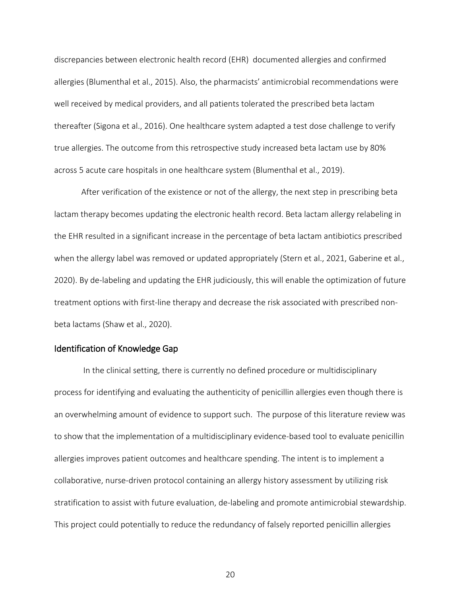discrepancies between electronic health record (EHR) documented allergies and confirmed allergies (Blumenthal et al., 2015). Also, the pharmacists' antimicrobial recommendations were well received by medical providers, and all patients tolerated the prescribed beta lactam thereafter (Sigona et al., 2016). One healthcare system adapted a test dose challenge to verify true allergies. The outcome from this retrospective study increased beta lactam use by 80% across 5 acute care hospitals in one healthcare system (Blumenthal et al., 2019).

After verification of the existence or not of the allergy, the next step in prescribing beta lactam therapy becomes updating the electronic health record. Beta lactam allergy relabeling in the EHR resulted in a significant increase in the percentage of beta lactam antibiotics prescribed when the allergy label was removed or updated appropriately (Stern et al., 2021, Gaberine et al., 2020). By de-labeling and updating the EHR judiciously, this will enable the optimization of future treatment options with first-line therapy and decrease the risk associated with prescribed nonbeta lactams (Shaw et al., 2020).

#### <span id="page-20-0"></span>Identification of Knowledge Gap

In the clinical setting, there is currently no defined procedure or multidisciplinary process for identifying and evaluating the authenticity of penicillin allergies even though there is an overwhelming amount of evidence to support such. The purpose of this literature review was to show that the implementation of a multidisciplinary evidence-based tool to evaluate penicillin allergies improves patient outcomes and healthcare spending. The intent is to implement a collaborative, nurse-driven protocol containing an allergy history assessment by utilizing risk stratification to assist with future evaluation, de-labeling and promote antimicrobial stewardship. This project could potentially to reduce the redundancy of falsely reported penicillin allergies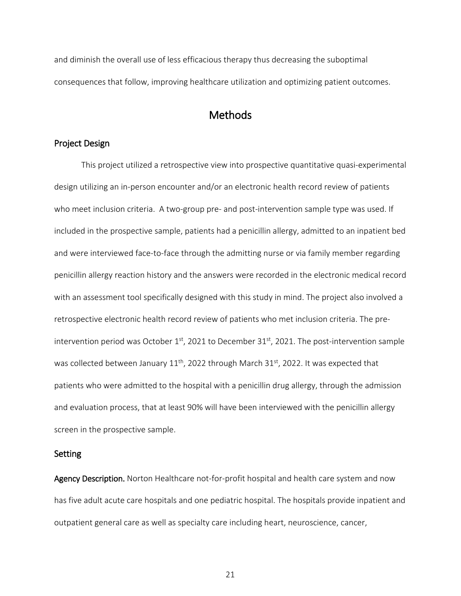and diminish the overall use of less efficacious therapy thus decreasing the suboptimal consequences that follow, improving healthcare utilization and optimizing patient outcomes.

# **Methods**

#### <span id="page-21-1"></span><span id="page-21-0"></span>Project Design

This project utilized a retrospective view into prospective quantitative quasi-experimental design utilizing an in-person encounter and/or an electronic health record review of patients who meet inclusion criteria. A two-group pre- and post-intervention sample type was used. If included in the prospective sample, patients had a penicillin allergy, admitted to an inpatient bed and were interviewed face-to-face through the admitting nurse or via family member regarding penicillin allergy reaction history and the answers were recorded in the electronic medical record with an assessment tool specifically designed with this study in mind. The project also involved a retrospective electronic health record review of patients who met inclusion criteria. The preintervention period was October  $1<sup>st</sup>$ , 2021 to December 31 $<sup>st</sup>$ , 2021. The post-intervention sample</sup> was collected between January  $11<sup>th</sup>$ , 2022 through March 31<sup>st</sup>, 2022. It was expected that patients who were admitted to the hospital with a penicillin drug allergy, through the admission and evaluation process, that at least 90% will have been interviewed with the penicillin allergy screen in the prospective sample.

#### <span id="page-21-2"></span>Setting

<span id="page-21-3"></span>Agency Description. Norton Healthcare not-for-profit hospital and health care system and now has five adult acute care hospitals and one pediatric hospital. The hospitals provide inpatient and outpatient general care as well as specialty care including heart, neuroscience, cancer,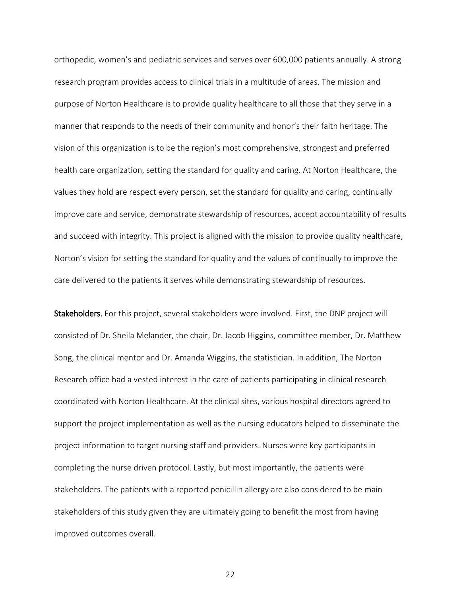orthopedic, women's and pediatric services and serves over 600,000 patients annually. A strong research program provides access to clinical trials in a multitude of areas. The mission and purpose of Norton Healthcare is to provide quality healthcare to all those that they serve in a manner that responds to the needs of their community and honor's their faith heritage. The vision of this organization is to be the region's most comprehensive, strongest and preferred health care organization, setting the standard for quality and caring. At Norton Healthcare, the values they hold are respect every person, set the standard for quality and caring, continually improve care and service, demonstrate stewardship of resources, accept accountability of results and succeed with integrity. This project is aligned with the mission to provide quality healthcare, Norton's vision for setting the standard for quality and the values of continually to improve the care delivered to the patients it serves while demonstrating stewardship of resources.

<span id="page-22-0"></span>Stakeholders. For this project, several stakeholders were involved. First, the DNP project will consisted of Dr. Sheila Melander, the chair, Dr. Jacob Higgins, committee member, Dr. Matthew Song, the clinical mentor and Dr. Amanda Wiggins, the statistician. In addition, The Norton Research office had a vested interest in the care of patients participating in clinical research coordinated with Norton Healthcare. At the clinical sites, various hospital directors agreed to support the project implementation as well as the nursing educators helped to disseminate the project information to target nursing staff and providers. Nurses were key participants in completing the nurse driven protocol. Lastly, but most importantly, the patients were stakeholders. The patients with a reported penicillin allergy are also considered to be main stakeholders of this study given they are ultimately going to benefit the most from having improved outcomes overall.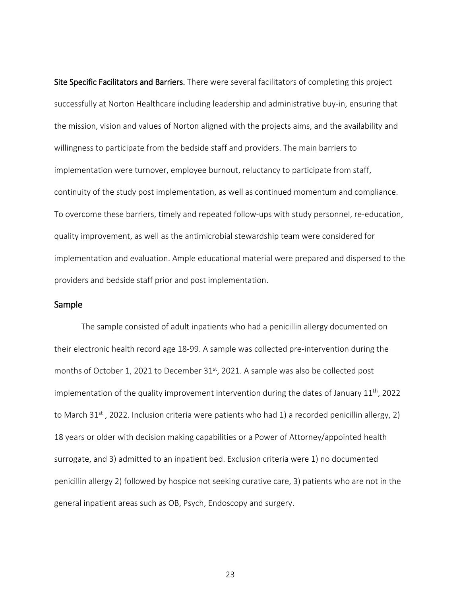<span id="page-23-0"></span>Site Specific Facilitators and Barriers. There were several facilitators of completing this project successfully at Norton Healthcare including leadership and administrative buy-in, ensuring that the mission, vision and values of Norton aligned with the projects aims, and the availability and willingness to participate from the bedside staff and providers. The main barriers to implementation were turnover, employee burnout, reluctancy to participate from staff, continuity of the study post implementation, as well as continued momentum and compliance. To overcome these barriers, timely and repeated follow-ups with study personnel, re-education, quality improvement, as well as the antimicrobial stewardship team were considered for implementation and evaluation. Ample educational material were prepared and dispersed to the providers and bedside staff prior and post implementation.

#### <span id="page-23-1"></span>Sample

 The sample consisted of adult inpatients who had a penicillin allergy documented on their electronic health record age 18-99. A sample was collected pre-intervention during the months of October 1, 2021 to December  $31<sup>st</sup>$ , 2021. A sample was also be collected post implementation of the quality improvement intervention during the dates of January  $11<sup>th</sup>$ , 2022 to March 31<sup>st</sup>, 2022. Inclusion criteria were patients who had 1) a recorded penicillin allergy, 2) 18 years or older with decision making capabilities or a Power of Attorney/appointed health surrogate, and 3) admitted to an inpatient bed. Exclusion criteria were 1) no documented penicillin allergy 2) followed by hospice not seeking curative care, 3) patients who are not in the general inpatient areas such as OB, Psych, Endoscopy and surgery.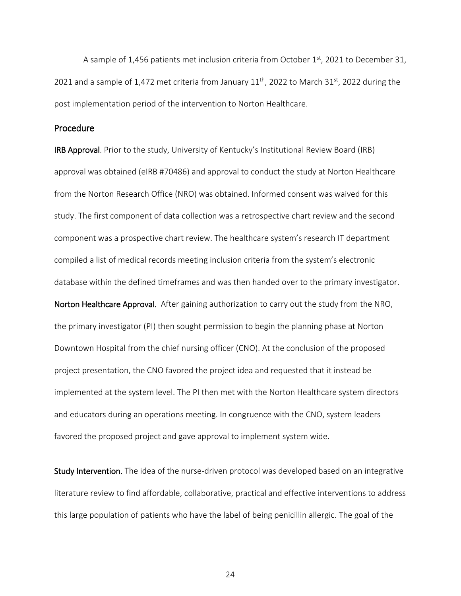A sample of 1,456 patients met inclusion criteria from October  $1<sup>st</sup>$ , 2021 to December 31, 2021 and a sample of 1,472 met criteria from January  $11<sup>th</sup>$ , 2022 to March 31<sup>st</sup>, 2022 during the post implementation period of the intervention to Norton Healthcare.

#### <span id="page-24-0"></span>Procedure

<span id="page-24-2"></span><span id="page-24-1"></span>IRB Approval. Prior to the study, University of Kentucky's Institutional Review Board (IRB) approval was obtained (eIRB #70486) and approval to conduct the study at Norton Healthcare from the Norton Research Office (NRO) was obtained. Informed consent was waived for this study. The first component of data collection was a retrospective chart review and the second component was a prospective chart review. The healthcare system's research IT department compiled a list of medical records meeting inclusion criteria from the system's electronic database within the defined timeframes and was then handed over to the primary investigator. Norton Healthcare Approval. After gaining authorization to carry out the study from the NRO, the primary investigator (PI) then sought permission to begin the planning phase at Norton Downtown Hospital from the chief nursing officer (CNO). At the conclusion of the proposed project presentation, the CNO favored the project idea and requested that it instead be implemented at the system level. The PI then met with the Norton Healthcare system directors and educators during an operations meeting. In congruence with the CNO, system leaders favored the proposed project and gave approval to implement system wide.

<span id="page-24-3"></span>Study Intervention. The idea of the nurse-driven protocol was developed based on an integrative literature review to find affordable, collaborative, practical and effective interventions to address this large population of patients who have the label of being penicillin allergic. The goal of the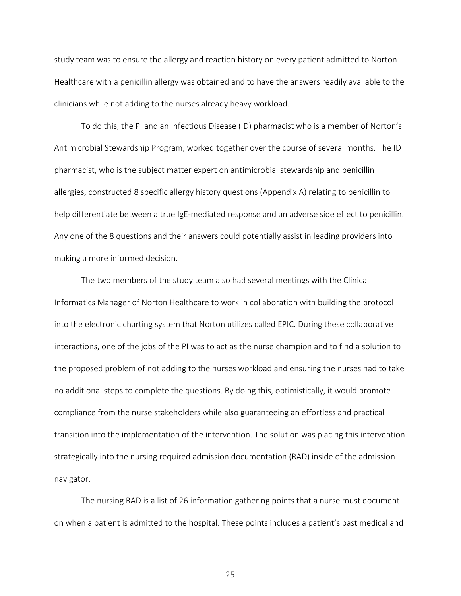study team was to ensure the allergy and reaction history on every patient admitted to Norton Healthcare with a penicillin allergy was obtained and to have the answers readily available to the clinicians while not adding to the nurses already heavy workload.

To do this, the PI and an Infectious Disease (ID) pharmacist who is a member of Norton's Antimicrobial Stewardship Program, worked together over the course of several months. The ID pharmacist, who is the subject matter expert on antimicrobial stewardship and penicillin allergies, constructed 8 specific allergy history questions (Appendix A) relating to penicillin to help differentiate between a true IgE-mediated response and an adverse side effect to penicillin. Any one of the 8 questions and their answers could potentially assist in leading providers into making a more informed decision.

The two members of the study team also had several meetings with the Clinical Informatics Manager of Norton Healthcare to work in collaboration with building the protocol into the electronic charting system that Norton utilizes called EPIC. During these collaborative interactions, one of the jobs of the PI was to act as the nurse champion and to find a solution to the proposed problem of not adding to the nurses workload and ensuring the nurses had to take no additional steps to complete the questions. By doing this, optimistically, it would promote compliance from the nurse stakeholders while also guaranteeing an effortless and practical transition into the implementation of the intervention. The solution was placing this intervention strategically into the nursing required admission documentation (RAD) inside of the admission navigator.

The nursing RAD is a list of 26 information gathering points that a nurse must document on when a patient is admitted to the hospital. These points includes a patient's past medical and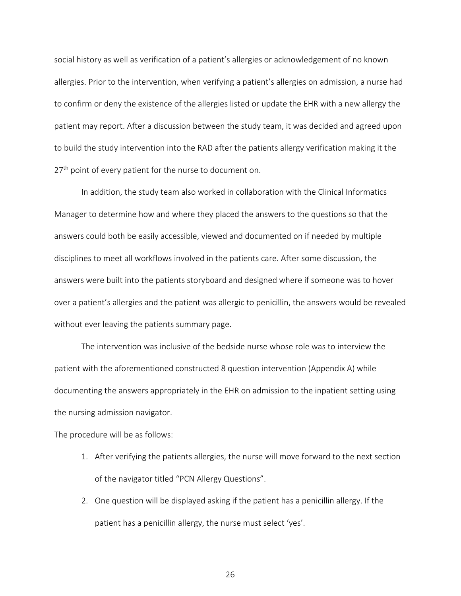social history as well as verification of a patient's allergies or acknowledgement of no known allergies. Prior to the intervention, when verifying a patient's allergies on admission, a nurse had to confirm or deny the existence of the allergies listed or update the EHR with a new allergy the patient may report. After a discussion between the study team, it was decided and agreed upon to build the study intervention into the RAD after the patients allergy verification making it the 27<sup>th</sup> point of every patient for the nurse to document on.

In addition, the study team also worked in collaboration with the Clinical Informatics Manager to determine how and where they placed the answers to the questions so that the answers could both be easily accessible, viewed and documented on if needed by multiple disciplines to meet all workflows involved in the patients care. After some discussion, the answers were built into the patients storyboard and designed where if someone was to hover over a patient's allergies and the patient was allergic to penicillin, the answers would be revealed without ever leaving the patients summary page.

The intervention was inclusive of the bedside nurse whose role was to interview the patient with the aforementioned constructed 8 question intervention (Appendix A) while documenting the answers appropriately in the EHR on admission to the inpatient setting using the nursing admission navigator.

The procedure will be as follows:

- 1. After verifying the patients allergies, the nurse will move forward to the next section of the navigator titled "PCN Allergy Questions".
- 2. One question will be displayed asking if the patient has a penicillin allergy. If the patient has a penicillin allergy, the nurse must select 'yes'.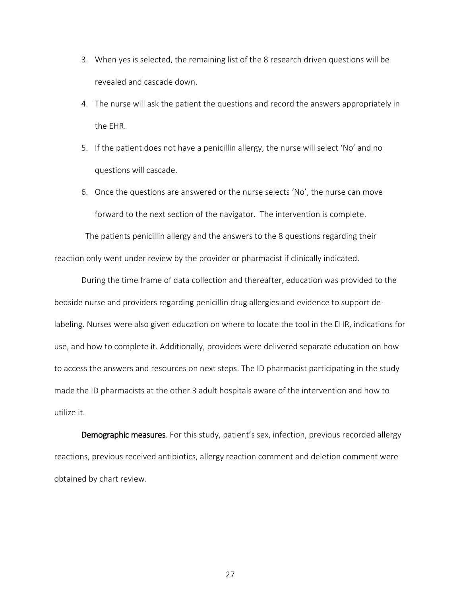- 3. When yes is selected, the remaining list of the 8 research driven questions will be revealed and cascade down.
- 4. The nurse will ask the patient the questions and record the answers appropriately in the EHR.
- 5. If the patient does not have a penicillin allergy, the nurse will select 'No' and no questions will cascade.
- 6. Once the questions are answered or the nurse selects 'No', the nurse can move forward to the next section of the navigator. The intervention is complete.

 The patients penicillin allergy and the answers to the 8 questions regarding their reaction only went under review by the provider or pharmacist if clinically indicated.

During the time frame of data collection and thereafter, education was provided to the bedside nurse and providers regarding penicillin drug allergies and evidence to support delabeling. Nurses were also given education on where to locate the tool in the EHR, indications for use, and how to complete it. Additionally, providers were delivered separate education on how to access the answers and resources on next steps. The ID pharmacist participating in the study made the ID pharmacists at the other 3 adult hospitals aware of the intervention and how to utilize it.

<span id="page-27-0"></span>Demographic measures. For this study, patient's sex, infection, previous recorded allergy reactions, previous received antibiotics, allergy reaction comment and deletion comment were obtained by chart review.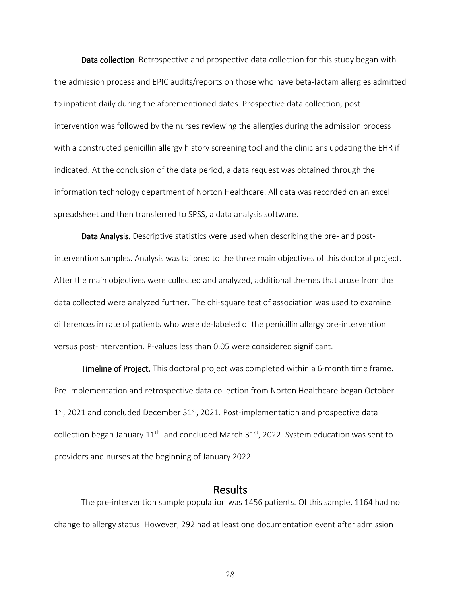<span id="page-28-0"></span>Data collection. Retrospective and prospective data collection for this study began with the admission process and EPIC audits/reports on those who have beta-lactam allergies admitted to inpatient daily during the aforementioned dates. Prospective data collection, post intervention was followed by the nurses reviewing the allergies during the admission process with a constructed penicillin allergy history screening tool and the clinicians updating the EHR if indicated. At the conclusion of the data period, a data request was obtained through the information technology department of Norton Healthcare. All data was recorded on an excel spreadsheet and then transferred to SPSS, a data analysis software.

<span id="page-28-1"></span>Data Analysis. Descriptive statistics were used when describing the pre- and postintervention samples. Analysis was tailored to the three main objectives of this doctoral project. After the main objectives were collected and analyzed, additional themes that arose from the data collected were analyzed further. The chi-square test of association was used to examine differences in rate of patients who were de-labeled of the penicillin allergy pre-intervention versus post-intervention. P-values less than 0.05 were considered significant.

<span id="page-28-2"></span>Timeline of Project. This doctoral project was completed within a 6-month time frame. Pre-implementation and retrospective data collection from Norton Healthcare began October  $1<sup>st</sup>$ , 2021 and concluded December 31 $<sup>st</sup>$ , 2021. Post-implementation and prospective data</sup> collection began January  $11<sup>th</sup>$  and concluded March 31<sup>st</sup>, 2022. System education was sent to providers and nurses at the beginning of January 2022.

<span id="page-28-3"></span>Results<br>The pre-intervention sample population was 1456 patients. Of this sample, 1164 had no change to allergy status. However, 292 had at least one documentation event after admission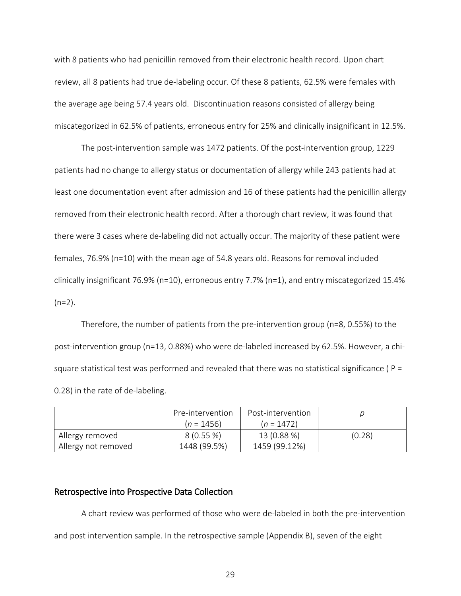with 8 patients who had penicillin removed from their electronic health record. Upon chart review, all 8 patients had true de-labeling occur. Of these 8 patients, 62.5% were females with the average age being 57.4 years old. Discontinuation reasons consisted of allergy being miscategorized in 62.5% of patients, erroneous entry for 25% and clinically insignificant in 12.5%.

The post-intervention sample was 1472 patients. Of the post-intervention group, 1229 patients had no change to allergy status or documentation of allergy while 243 patients had at least one documentation event after admission and 16 of these patients had the penicillin allergy removed from their electronic health record. After a thorough chart review, it was found that there were 3 cases where de-labeling did not actually occur. The majority of these patient were females, 76.9% (n=10) with the mean age of 54.8 years old. Reasons for removal included clinically insignificant 76.9% (n=10), erroneous entry 7.7% (n=1), and entry miscategorized 15.4%  $(n=2)$ .

Therefore, the number of patients from the pre-intervention group ( $n=8$ , 0.55%) to the post-intervention group (n=13, 0.88%) who were de-labeled increased by 62.5%. However, a chisquare statistical test was performed and revealed that there was no statistical significance ( $P =$ 0.28) in the rate of de-labeling.

|                     | Pre-intervention | Post-intervention |        |
|---------------------|------------------|-------------------|--------|
|                     | $(n = 1456)$     | $(n = 1472)$      |        |
| Allergy removed     | $8(0.55\%)$      | 13 (0.88 %)       | (0.28) |
| Allergy not removed | 1448 (99.5%)     | 1459 (99.12%)     |        |

#### <span id="page-29-0"></span>Retrospective into Prospective Data Collection

A chart review was performed of those who were de-labeled in both the pre-intervention and post intervention sample. In the retrospective sample (Appendix B), seven of the eight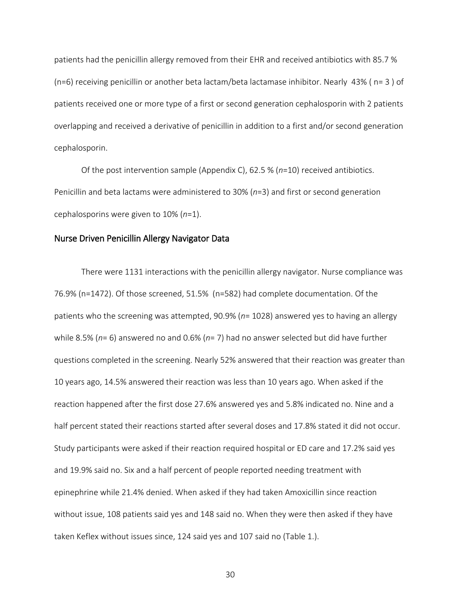patients had the penicillin allergy removed from their EHR and received antibiotics with 85.7 % (n=6) receiving penicillin or another beta lactam/beta lactamase inhibitor. Nearly 43% ( n= 3 ) of patients received one or more type of a first or second generation cephalosporin with 2 patients overlapping and received a derivative of penicillin in addition to a first and/or second generation cephalosporin.

Of the post intervention sample (Appendix C), 62.5 % (*n*=10) received antibiotics. Penicillin and beta lactams were administered to 30% (*n*=3) and first or second generation cephalosporins were given to 10% (*n*=1).

#### <span id="page-30-0"></span>Nurse Driven Penicillin Allergy Navigator Data

There were 1131 interactions with the penicillin allergy navigator. Nurse compliance was 76.9% (n=1472). Of those screened, 51.5% (n=582) had complete documentation. Of the patients who the screening was attempted, 90.9% (*n*= 1028) answered yes to having an allergy while 8.5% (*n*= 6) answered no and 0.6% (*n*= 7) had no answer selected but did have further questions completed in the screening. Nearly 52% answered that their reaction was greater than 10 years ago, 14.5% answered their reaction was less than 10 years ago. When asked if the reaction happened after the first dose 27.6% answered yes and 5.8% indicated no. Nine and a half percent stated their reactions started after several doses and 17.8% stated it did not occur. Study participants were asked if their reaction required hospital or ED care and 17.2% said yes and 19.9% said no. Six and a half percent of people reported needing treatment with epinephrine while 21.4% denied. When asked if they had taken Amoxicillin since reaction without issue, 108 patients said yes and 148 said no. When they were then asked if they have taken Keflex without issues since, 124 said yes and 107 said no (Table 1.).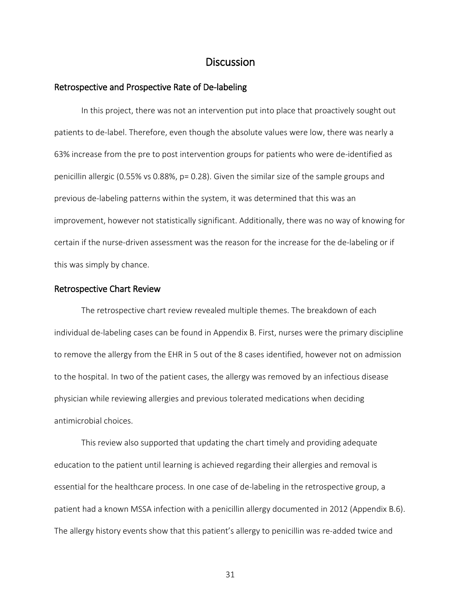### **Discussion**

#### <span id="page-31-1"></span><span id="page-31-0"></span>Retrospective and Prospective Rate of De-labeling

In this project, there was not an intervention put into place that proactively sought out patients to de-label. Therefore, even though the absolute values were low, there was nearly a 63% increase from the pre to post intervention groups for patients who were de-identified as penicillin allergic (0.55% vs 0.88%, p= 0.28). Given the similar size of the sample groups and previous de-labeling patterns within the system, it was determined that this was an improvement, however not statistically significant. Additionally, there was no way of knowing for certain if the nurse-driven assessment was the reason for the increase for the de-labeling or if this was simply by chance.

#### <span id="page-31-2"></span>Retrospective Chart Review

The retrospective chart review revealed multiple themes. The breakdown of each individual de-labeling cases can be found in Appendix B. First, nurses were the primary discipline to remove the allergy from the EHR in 5 out of the 8 cases identified, however not on admission to the hospital. In two of the patient cases, the allergy was removed by an infectious disease physician while reviewing allergies and previous tolerated medications when deciding antimicrobial choices.

This review also supported that updating the chart timely and providing adequate education to the patient until learning is achieved regarding their allergies and removal is essential for the healthcare process. In one case of de-labeling in the retrospective group, a patient had a known MSSA infection with a penicillin allergy documented in 2012 (Appendix B.6). The allergy history events show that this patient's allergy to penicillin was re-added twice and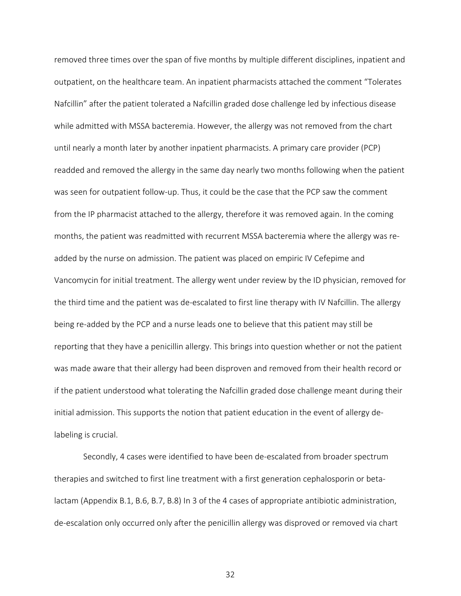removed three times over the span of five months by multiple different disciplines, inpatient and outpatient, on the healthcare team. An inpatient pharmacists attached the comment "Tolerates Nafcillin" after the patient tolerated a Nafcillin graded dose challenge led by infectious disease while admitted with MSSA bacteremia. However, the allergy was not removed from the chart until nearly a month later by another inpatient pharmacists. A primary care provider (PCP) readded and removed the allergy in the same day nearly two months following when the patient was seen for outpatient follow-up. Thus, it could be the case that the PCP saw the comment from the IP pharmacist attached to the allergy, therefore it was removed again. In the coming months, the patient was readmitted with recurrent MSSA bacteremia where the allergy was readded by the nurse on admission. The patient was placed on empiric IV Cefepime and Vancomycin for initial treatment. The allergy went under review by the ID physician, removed for the third time and the patient was de-escalated to first line therapy with IV Nafcillin. The allergy being re-added by the PCP and a nurse leads one to believe that this patient may still be reporting that they have a penicillin allergy. This brings into question whether or not the patient was made aware that their allergy had been disproven and removed from their health record or if the patient understood what tolerating the Nafcillin graded dose challenge meant during their initial admission. This supports the notion that patient education in the event of allergy delabeling is crucial.

Secondly, 4 cases were identified to have been de-escalated from broader spectrum therapies and switched to first line treatment with a first generation cephalosporin or betalactam (Appendix B.1, B.6, B.7, B.8) In 3 of the 4 cases of appropriate antibiotic administration, de-escalation only occurred only after the penicillin allergy was disproved or removed via chart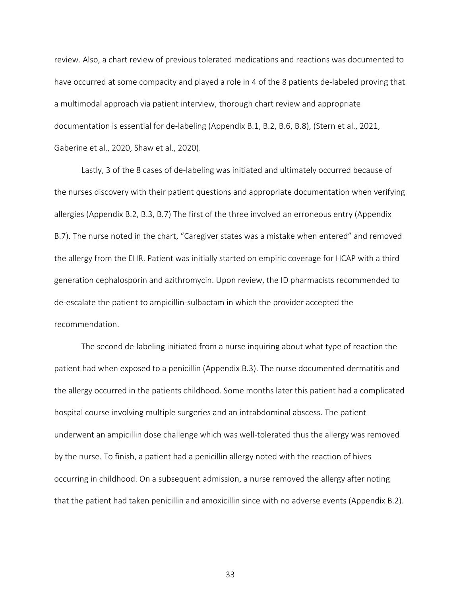review. Also, a chart review of previous tolerated medications and reactions was documented to have occurred at some compacity and played a role in 4 of the 8 patients de-labeled proving that a multimodal approach via patient interview, thorough chart review and appropriate documentation is essential for de-labeling (Appendix B.1, B.2, B.6, B.8), (Stern et al., 2021, Gaberine et al., 2020, Shaw et al., 2020).

Lastly, 3 of the 8 cases of de-labeling was initiated and ultimately occurred because of the nurses discovery with their patient questions and appropriate documentation when verifying allergies (Appendix B.2, B.3, B.7) The first of the three involved an erroneous entry (Appendix B.7). The nurse noted in the chart, "Caregiver states was a mistake when entered" and removed the allergy from the EHR. Patient was initially started on empiric coverage for HCAP with a third generation cephalosporin and azithromycin. Upon review, the ID pharmacists recommended to de-escalate the patient to ampicillin-sulbactam in which the provider accepted the recommendation.

The second de-labeling initiated from a nurse inquiring about what type of reaction the patient had when exposed to a penicillin (Appendix B.3). The nurse documented dermatitis and the allergy occurred in the patients childhood. Some months later this patient had a complicated hospital course involving multiple surgeries and an intrabdominal abscess. The patient underwent an ampicillin dose challenge which was well-tolerated thus the allergy was removed by the nurse. To finish, a patient had a penicillin allergy noted with the reaction of hives occurring in childhood. On a subsequent admission, a nurse removed the allergy after noting that the patient had taken penicillin and amoxicillin since with no adverse events (Appendix B.2).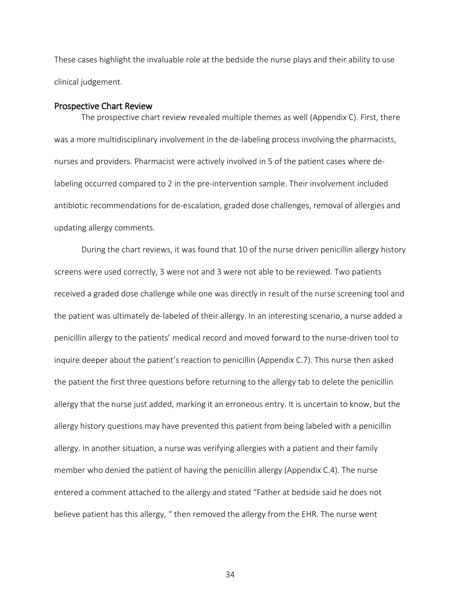These cases highlight the invaluable role at the bedside the nurse plays and their ability to use clinical judgement.

#### <span id="page-34-0"></span>Prospective Chart Review

The prospective chart review revealed multiple themes as well (Appendix C). First, there was a more multidisciplinary involvement in the de-labeling process involving the pharmacists, nurses and providers. Pharmacist were actively involved in 5 of the patient cases where delabeling occurred compared to 2 in the pre-intervention sample. Their involvement included antibiotic recommendations for de-escalation, graded dose challenges, removal of allergies and updating allergy comments.

During the chart reviews, it was found that 10 of the nurse driven penicillin allergy history screens were used correctly, 3 were not and 3 were not able to be reviewed. Two patients received a graded dose challenge while one was directly in result of the nurse screening tool and the patient was ultimately de-labeled of their allergy. In an interesting scenario, a nurse added a penicillin allergy to the patients' medical record and moved forward to the nurse-driven tool to inquire deeper about the patient's reaction to penicillin (Appendix C.7). This nurse then asked the patient the first three questions before returning to the allergy tab to delete the penicillin allergy that the nurse just added, marking it an erroneous entry. It is uncertain to know, but the allergy history questions may have prevented this patient from being labeled with a penicillin allergy. In another situation, a nurse was verifying allergies with a patient and their family member who denied the patient of having the penicillin allergy (Appendix C.4). The nurse entered a comment attached to the allergy and stated "Father at bedside said he does not believe patient has this allergy, " then removed the allergy from the EHR. The nurse went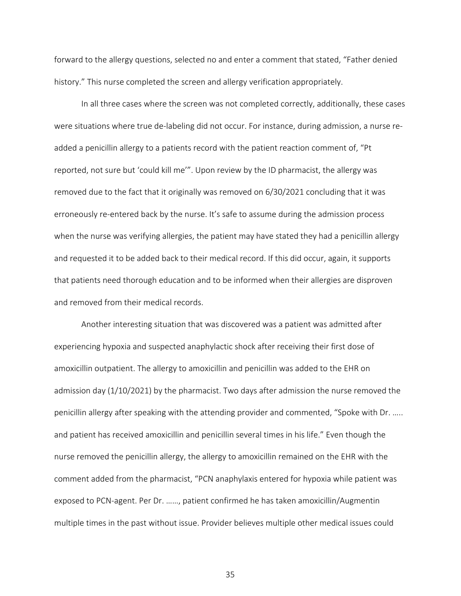forward to the allergy questions, selected no and enter a comment that stated, "Father denied history." This nurse completed the screen and allergy verification appropriately.

In all three cases where the screen was not completed correctly, additionally, these cases were situations where true de-labeling did not occur. For instance, during admission, a nurse readded a penicillin allergy to a patients record with the patient reaction comment of, "Pt reported, not sure but 'could kill me'". Upon review by the ID pharmacist, the allergy was removed due to the fact that it originally was removed on 6/30/2021 concluding that it was erroneously re-entered back by the nurse. It's safe to assume during the admission process when the nurse was verifying allergies, the patient may have stated they had a penicillin allergy and requested it to be added back to their medical record. If this did occur, again, it supports that patients need thorough education and to be informed when their allergies are disproven and removed from their medical records.

Another interesting situation that was discovered was a patient was admitted after experiencing hypoxia and suspected anaphylactic shock after receiving their first dose of amoxicillin outpatient. The allergy to amoxicillin and penicillin was added to the EHR on admission day (1/10/2021) by the pharmacist. Two days after admission the nurse removed the penicillin allergy after speaking with the attending provider and commented, "Spoke with Dr. ….. and patient has received amoxicillin and penicillin several times in his life." Even though the nurse removed the penicillin allergy, the allergy to amoxicillin remained on the EHR with the comment added from the pharmacist, "PCN anaphylaxis entered for hypoxia while patient was exposed to PCN-agent. Per Dr. ……, patient confirmed he has taken amoxicillin/Augmentin multiple times in the past without issue. Provider believes multiple other medical issues could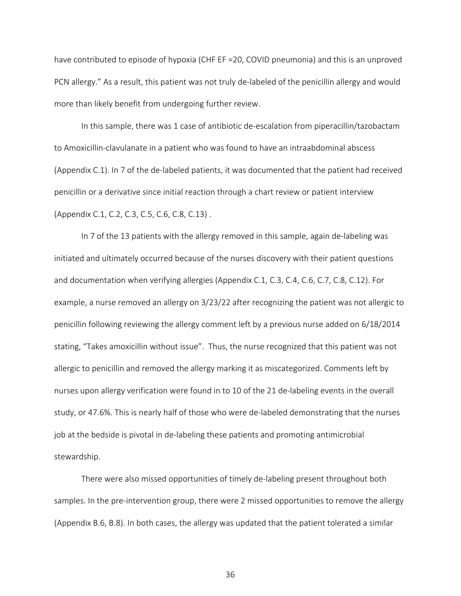have contributed to episode of hypoxia (CHF EF =20, COVID pneumonia) and this is an unproved PCN allergy." As a result, this patient was not truly de-labeled of the penicillin allergy and would more than likely benefit from undergoing further review.

In this sample, there was 1 case of antibiotic de-escalation from piperacillin/tazobactam to Amoxicillin-clavulanate in a patient who was found to have an intraabdominal abscess (Appendix C.1). In 7 of the de-labeled patients, it was documented that the patient had received penicillin or a derivative since initial reaction through a chart review or patient interview (Appendix C.1, C.2, C.3, C.5, C.6, C.8, C.13) .

In 7 of the 13 patients with the allergy removed in this sample, again de-labeling was initiated and ultimately occurred because of the nurses discovery with their patient questions and documentation when verifying allergies (Appendix C.1, C.3, C.4, C.6, C.7, C.8, C.12). For example, a nurse removed an allergy on 3/23/22 after recognizing the patient was not allergic to penicillin following reviewing the allergy comment left by a previous nurse added on 6/18/2014 stating, "Takes amoxicillin without issue". Thus, the nurse recognized that this patient was not allergic to penicillin and removed the allergy marking it as miscategorized. Comments left by nurses upon allergy verification were found in to 10 of the 21 de-labeling events in the overall study, or 47.6%. This is nearly half of those who were de-labeled demonstrating that the nurses job at the bedside is pivotal in de-labeling these patients and promoting antimicrobial stewardship.

There were also missed opportunities of timely de-labeling present throughout both samples. In the pre-intervention group, there were 2 missed opportunities to remove the allergy (Appendix B.6, B.8). In both cases, the allergy was updated that the patient tolerated a similar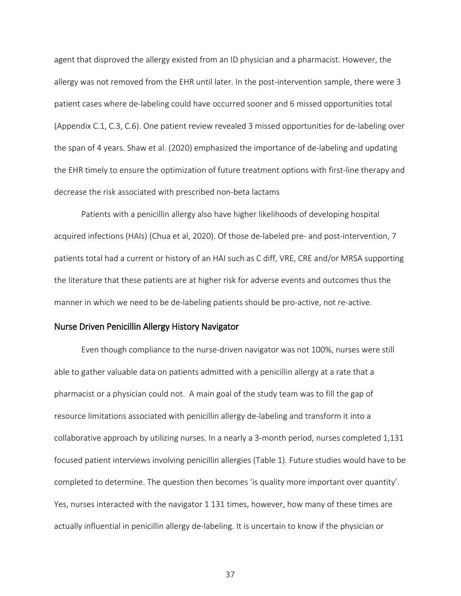agent that disproved the allergy existed from an ID physician and a pharmacist. However, the allergy was not removed from the EHR until later. In the post-intervention sample, there were 3 patient cases where de-labeling could have occurred sooner and 6 missed opportunities total (Appendix C.1, C.3, C.6). One patient review revealed 3 missed opportunities for de-labeling over the span of 4 years. Shaw et al. (2020) emphasized the importance of de-labeling and updating the EHR timely to ensure the optimization of future treatment options with first-line therapy and decrease the risk associated with prescribed non-beta lactams

Patients with a penicillin allergy also have higher likelihoods of developing hospital acquired infections (HAIs) (Chua et al, 2020). Of those de-labeled pre- and post-intervention, 7 patients total had a current or history of an HAI such as C diff, VRE, CRE and/or MRSA supporting the literature that these patients are at higher risk for adverse events and outcomes thus the manner in which we need to be de-labeling patients should be pro-active, not re-active.

#### <span id="page-37-0"></span>Nurse Driven Penicillin Allergy History Navigator

Even though compliance to the nurse-driven navigator was not 100%, nurses were still able to gather valuable data on patients admitted with a penicillin allergy at a rate that a pharmacist or a physician could not. A main goal of the study team was to fill the gap of resource limitations associated with penicillin allergy de-labeling and transform it into a collaborative approach by utilizing nurses. In a nearly a 3-month period, nurses completed 1,131 focused patient interviews involving penicillin allergies (Table 1). Future studies would have to be completed to determine. The question then becomes 'is quality more important over quantity'. Yes, nurses interacted with the navigator 1 131 times, however, how many of these times are actually influential in penicillin allergy de-labeling. It is uncertain to know if the physician or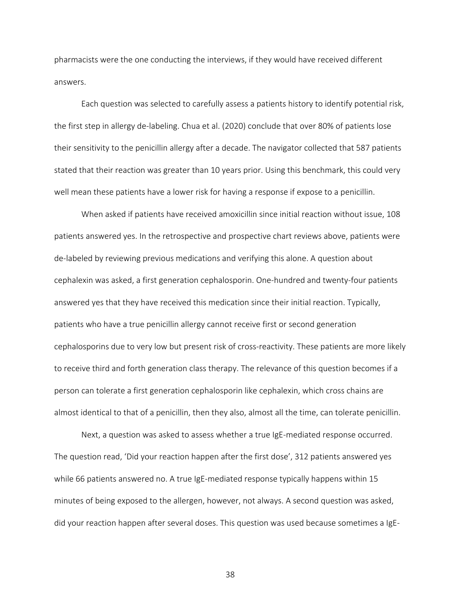pharmacists were the one conducting the interviews, if they would have received different answers.

Each question was selected to carefully assess a patients history to identify potential risk, the first step in allergy de-labeling. Chua et al. (2020) conclude that over 80% of patients lose their sensitivity to the penicillin allergy after a decade. The navigator collected that 587 patients stated that their reaction was greater than 10 years prior. Using this benchmark, this could very well mean these patients have a lower risk for having a response if expose to a penicillin.

When asked if patients have received amoxicillin since initial reaction without issue, 108 patients answered yes. In the retrospective and prospective chart reviews above, patients were de-labeled by reviewing previous medications and verifying this alone. A question about cephalexin was asked, a first generation cephalosporin. One-hundred and twenty-four patients answered yes that they have received this medication since their initial reaction. Typically, patients who have a true penicillin allergy cannot receive first or second generation cephalosporins due to very low but present risk of cross-reactivity. These patients are more likely to receive third and forth generation class therapy. The relevance of this question becomes if a person can tolerate a first generation cephalosporin like cephalexin, which cross chains are almost identical to that of a penicillin, then they also, almost all the time, can tolerate penicillin.

Next, a question was asked to assess whether a true IgE-mediated response occurred. The question read, 'Did your reaction happen after the first dose', 312 patients answered yes while 66 patients answered no. A true IgE-mediated response typically happens within 15 minutes of being exposed to the allergen, however, not always. A second question was asked, did your reaction happen after several doses. This question was used because sometimes a IgE-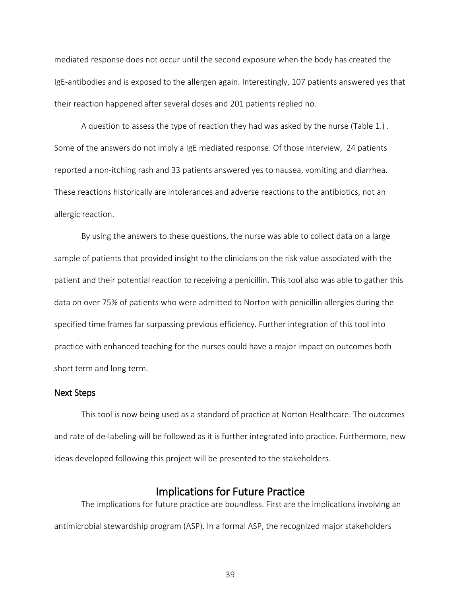mediated response does not occur until the second exposure when the body has created the IgE-antibodies and is exposed to the allergen again. Interestingly, 107 patients answered yes that their reaction happened after several doses and 201 patients replied no.

A question to assess the type of reaction they had was asked by the nurse (Table 1.) . Some of the answers do not imply a IgE mediated response. Of those interview, 24 patients reported a non-itching rash and 33 patients answered yes to nausea, vomiting and diarrhea. These reactions historically are intolerances and adverse reactions to the antibiotics, not an allergic reaction.

By using the answers to these questions, the nurse was able to collect data on a large sample of patients that provided insight to the clinicians on the risk value associated with the patient and their potential reaction to receiving a penicillin. This tool also was able to gather this data on over 75% of patients who were admitted to Norton with penicillin allergies during the specified time frames far surpassing previous efficiency. Further integration of this tool into practice with enhanced teaching for the nurses could have a major impact on outcomes both short term and long term.

#### <span id="page-39-0"></span>Next Steps

This tool is now being used as a standard of practice at Norton Healthcare. The outcomes and rate of de-labeling will be followed as it is further integrated into practice. Furthermore, new ideas developed following this project will be presented to the stakeholders.

<span id="page-39-1"></span>Implications for Future Practice<br>The implications for future practice are boundless. First are the implications involving an antimicrobial stewardship program (ASP). In a formal ASP, the recognized major stakeholders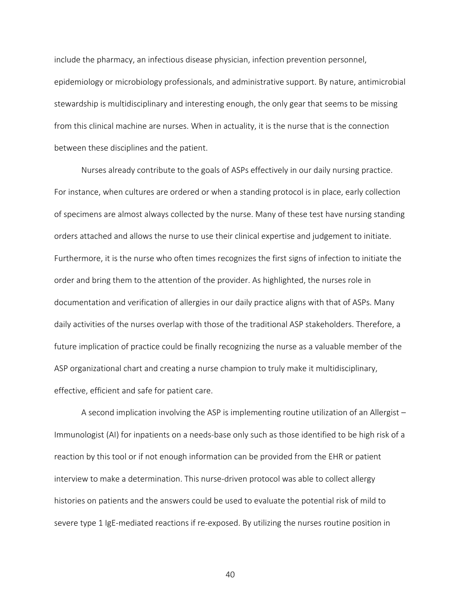include the pharmacy, an infectious disease physician, infection prevention personnel, epidemiology or microbiology professionals, and administrative support. By nature, antimicrobial stewardship is multidisciplinary and interesting enough, the only gear that seems to be missing from this clinical machine are nurses. When in actuality, it is the nurse that is the connection between these disciplines and the patient.

Nurses already contribute to the goals of ASPs effectively in our daily nursing practice. For instance, when cultures are ordered or when a standing protocol is in place, early collection of specimens are almost always collected by the nurse. Many of these test have nursing standing orders attached and allows the nurse to use their clinical expertise and judgement to initiate. Furthermore, it is the nurse who often times recognizes the first signs of infection to initiate the order and bring them to the attention of the provider. As highlighted, the nurses role in documentation and verification of allergies in our daily practice aligns with that of ASPs. Many daily activities of the nurses overlap with those of the traditional ASP stakeholders. Therefore, a future implication of practice could be finally recognizing the nurse as a valuable member of the ASP organizational chart and creating a nurse champion to truly make it multidisciplinary, effective, efficient and safe for patient care.

A second implication involving the ASP is implementing routine utilization of an Allergist – Immunologist (AI) for inpatients on a needs-base only such as those identified to be high risk of a reaction by this tool or if not enough information can be provided from the EHR or patient interview to make a determination. This nurse-driven protocol was able to collect allergy histories on patients and the answers could be used to evaluate the potential risk of mild to severe type 1 IgE-mediated reactions if re-exposed. By utilizing the nurses routine position in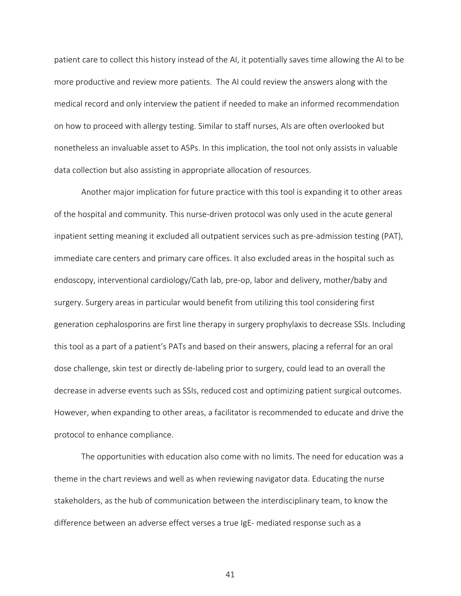patient care to collect this history instead of the AI, it potentially saves time allowing the AI to be more productive and review more patients. The AI could review the answers along with the medical record and only interview the patient if needed to make an informed recommendation on how to proceed with allergy testing. Similar to staff nurses, AIs are often overlooked but nonetheless an invaluable asset to ASPs. In this implication, the tool not only assists in valuable data collection but also assisting in appropriate allocation of resources.

Another major implication for future practice with this tool is expanding it to other areas of the hospital and community. This nurse-driven protocol was only used in the acute general inpatient setting meaning it excluded all outpatient services such as pre-admission testing (PAT), immediate care centers and primary care offices. It also excluded areas in the hospital such as endoscopy, interventional cardiology/Cath lab, pre-op, labor and delivery, mother/baby and surgery. Surgery areas in particular would benefit from utilizing this tool considering first generation cephalosporins are first line therapy in surgery prophylaxis to decrease SSIs. Including this tool as a part of a patient's PATs and based on their answers, placing a referral for an oral dose challenge, skin test or directly de-labeling prior to surgery, could lead to an overall the decrease in adverse events such as SSIs, reduced cost and optimizing patient surgical outcomes. However, when expanding to other areas, a facilitator is recommended to educate and drive the protocol to enhance compliance.

The opportunities with education also come with no limits. The need for education was a theme in the chart reviews and well as when reviewing navigator data. Educating the nurse stakeholders, as the hub of communication between the interdisciplinary team, to know the difference between an adverse effect verses a true IgE- mediated response such as a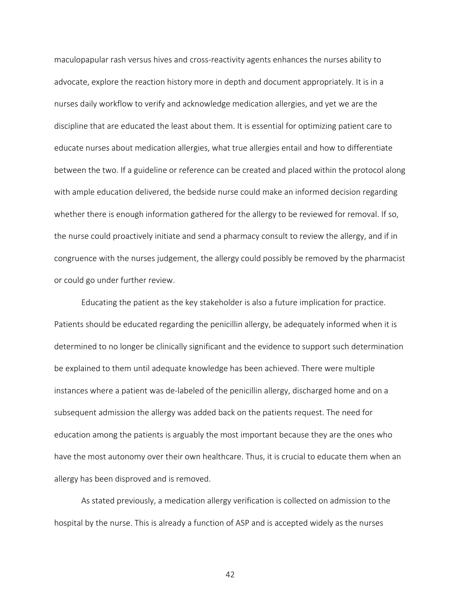maculopapular rash versus hives and cross-reactivity agents enhances the nurses ability to advocate, explore the reaction history more in depth and document appropriately. It is in a nurses daily workflow to verify and acknowledge medication allergies, and yet we are the discipline that are educated the least about them. It is essential for optimizing patient care to educate nurses about medication allergies, what true allergies entail and how to differentiate between the two. If a guideline or reference can be created and placed within the protocol along with ample education delivered, the bedside nurse could make an informed decision regarding whether there is enough information gathered for the allergy to be reviewed for removal. If so, the nurse could proactively initiate and send a pharmacy consult to review the allergy, and if in congruence with the nurses judgement, the allergy could possibly be removed by the pharmacist or could go under further review.

Educating the patient as the key stakeholder is also a future implication for practice. Patients should be educated regarding the penicillin allergy, be adequately informed when it is determined to no longer be clinically significant and the evidence to support such determination be explained to them until adequate knowledge has been achieved. There were multiple instances where a patient was de-labeled of the penicillin allergy, discharged home and on a subsequent admission the allergy was added back on the patients request. The need for education among the patients is arguably the most important because they are the ones who have the most autonomy over their own healthcare. Thus, it is crucial to educate them when an allergy has been disproved and is removed.

As stated previously, a medication allergy verification is collected on admission to the hospital by the nurse. This is already a function of ASP and is accepted widely as the nurses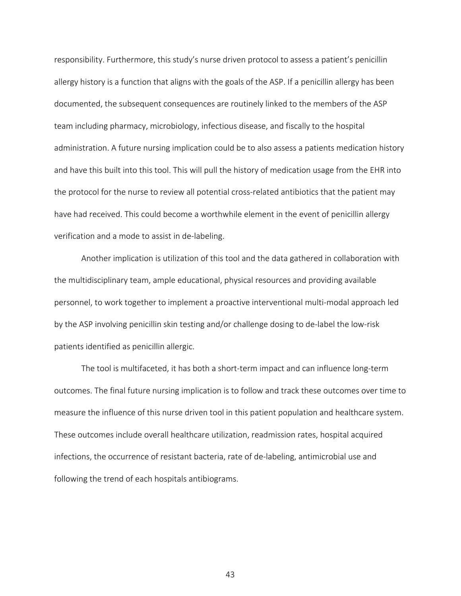responsibility. Furthermore, this study's nurse driven protocol to assess a patient's penicillin allergy history is a function that aligns with the goals of the ASP. If a penicillin allergy has been documented, the subsequent consequences are routinely linked to the members of the ASP team including pharmacy, microbiology, infectious disease, and fiscally to the hospital administration. A future nursing implication could be to also assess a patients medication history and have this built into this tool. This will pull the history of medication usage from the EHR into the protocol for the nurse to review all potential cross-related antibiotics that the patient may have had received. This could become a worthwhile element in the event of penicillin allergy verification and a mode to assist in de-labeling.

Another implication is utilization of this tool and the data gathered in collaboration with the multidisciplinary team, ample educational, physical resources and providing available personnel, to work together to implement a proactive interventional multi-modal approach led by the ASP involving penicillin skin testing and/or challenge dosing to de-label the low-risk patients identified as penicillin allergic.

The tool is multifaceted, it has both a short-term impact and can influence long-term outcomes. The final future nursing implication is to follow and track these outcomes over time to measure the influence of this nurse driven tool in this patient population and healthcare system. These outcomes include overall healthcare utilization, readmission rates, hospital acquired infections, the occurrence of resistant bacteria, rate of de-labeling, antimicrobial use and following the trend of each hospitals antibiograms.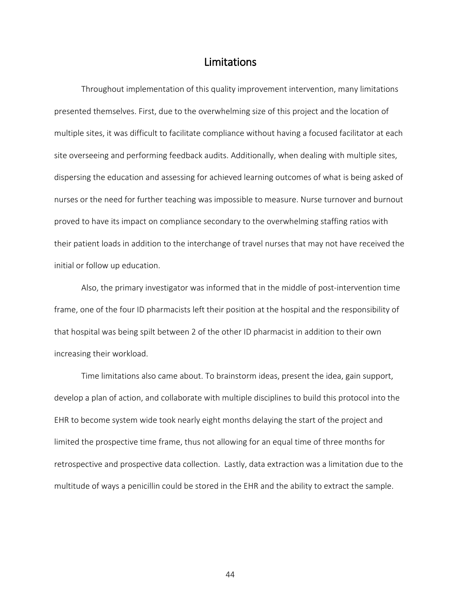### Limitations

<span id="page-44-0"></span>Throughout implementation of this quality improvement intervention, many limitations presented themselves. First, due to the overwhelming size of this project and the location of multiple sites, it was difficult to facilitate compliance without having a focused facilitator at each site overseeing and performing feedback audits. Additionally, when dealing with multiple sites, dispersing the education and assessing for achieved learning outcomes of what is being asked of nurses or the need for further teaching was impossible to measure. Nurse turnover and burnout proved to have its impact on compliance secondary to the overwhelming staffing ratios with their patient loads in addition to the interchange of travel nurses that may not have received the initial or follow up education.

Also, the primary investigator was informed that in the middle of post-intervention time frame, one of the four ID pharmacists left their position at the hospital and the responsibility of that hospital was being spilt between 2 of the other ID pharmacist in addition to their own increasing their workload.

Time limitations also came about. To brainstorm ideas, present the idea, gain support, develop a plan of action, and collaborate with multiple disciplines to build this protocol into the EHR to become system wide took nearly eight months delaying the start of the project and limited the prospective time frame, thus not allowing for an equal time of three months for retrospective and prospective data collection. Lastly, data extraction was a limitation due to the multitude of ways a penicillin could be stored in the EHR and the ability to extract the sample.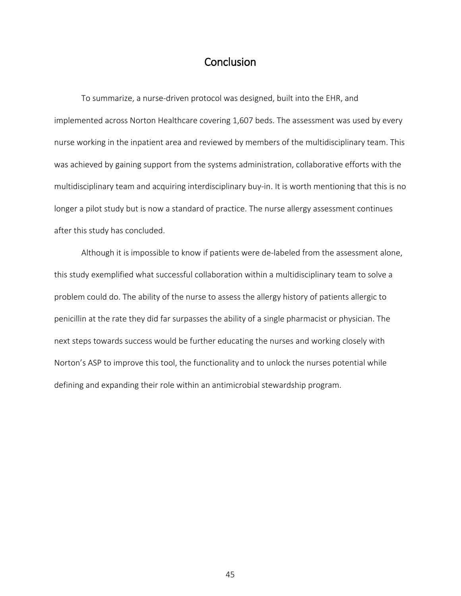# **Conclusion**

<span id="page-45-0"></span> To summarize, a nurse-driven protocol was designed, built into the EHR, and implemented across Norton Healthcare covering 1,607 beds. The assessment was used by every nurse working in the inpatient area and reviewed by members of the multidisciplinary team. This was achieved by gaining support from the systems administration, collaborative efforts with the multidisciplinary team and acquiring interdisciplinary buy-in. It is worth mentioning that this is no longer a pilot study but is now a standard of practice. The nurse allergy assessment continues after this study has concluded.

Although it is impossible to know if patients were de-labeled from the assessment alone, this study exemplified what successful collaboration within a multidisciplinary team to solve a problem could do. The ability of the nurse to assess the allergy history of patients allergic to penicillin at the rate they did far surpasses the ability of a single pharmacist or physician. The next steps towards success would be further educating the nurses and working closely with Norton's ASP to improve this tool, the functionality and to unlock the nurses potential while defining and expanding their role within an antimicrobial stewardship program.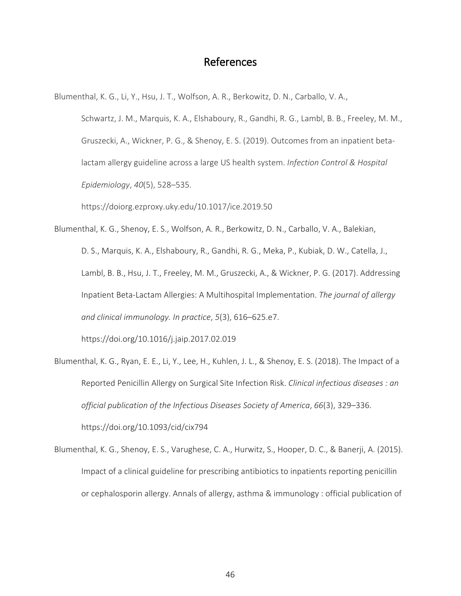# References

<span id="page-46-0"></span>Blumenthal, K. G., Li, Y., Hsu, J. T., Wolfson, A. R., Berkowitz, D. N., Carballo, V. A.,

Schwartz, J. M., Marquis, K. A., Elshaboury, R., Gandhi, R. G., Lambl, B. B., Freeley, M. M., Gruszecki, A., Wickner, P. G., & Shenoy, E. S. (2019). Outcomes from an inpatient betalactam allergy guideline across a large US health system. *Infection Control & Hospital Epidemiology*, *40*(5), 528–535.

https://doiorg.ezproxy.uky.edu/10.1017/ice.2019.50

Blumenthal, K. G., Shenoy, E. S., Wolfson, A. R., Berkowitz, D. N., Carballo, V. A., Balekian, D. S., Marquis, K. A., Elshaboury, R., Gandhi, R. G., Meka, P., Kubiak, D. W., Catella, J., Lambl, B. B., Hsu, J. T., Freeley, M. M., Gruszecki, A., & Wickner, P. G. (2017). Addressing Inpatient Beta-Lactam Allergies: A Multihospital Implementation. *The journal of allergy and clinical immunology. In practice*, *5*(3), 616–625.e7.

https://doi.org/10.1016/j.jaip.2017.02.019

- Blumenthal, K. G., Ryan, E. E., Li, Y., Lee, H., Kuhlen, J. L., & Shenoy, E. S. (2018). The Impact of a Reported Penicillin Allergy on Surgical Site Infection Risk. *Clinical infectious diseases : an official publication of the Infectious Diseases Society of America*, *66*(3), 329–336. https://doi.org/10.1093/cid/cix794
- Blumenthal, K. G., Shenoy, E. S., Varughese, C. A., Hurwitz, S., Hooper, D. C., & Banerji, A. (2015). Impact of a clinical guideline for prescribing antibiotics to inpatients reporting penicillin or cephalosporin allergy. Annals of allergy, asthma & immunology : official publication of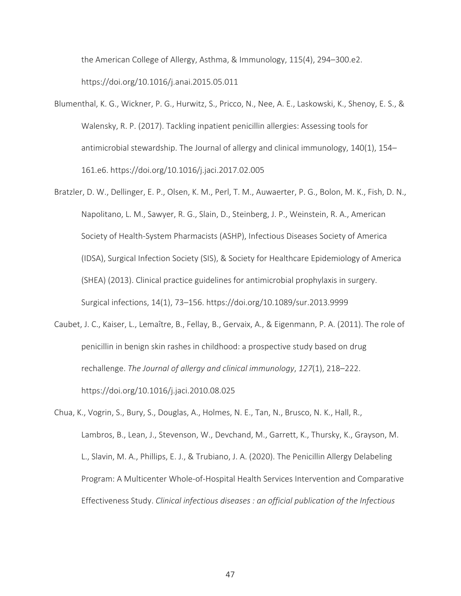the American College of Allergy, Asthma, & Immunology, 115(4), 294–300.e2. https://doi.org/10.1016/j.anai.2015.05.011

- Blumenthal, K. G., Wickner, P. G., Hurwitz, S., Pricco, N., Nee, A. E., Laskowski, K., Shenoy, E. S., & Walensky, R. P. (2017). Tackling inpatient penicillin allergies: Assessing tools for antimicrobial stewardship. The Journal of allergy and clinical immunology, 140(1), 154– 161.e6. https://doi.org/10.1016/j.jaci.2017.02.005
- Bratzler, D. W., Dellinger, E. P., Olsen, K. M., Perl, T. M., Auwaerter, P. G., Bolon, M. K., Fish, D. N., Napolitano, L. M., Sawyer, R. G., Slain, D., Steinberg, J. P., Weinstein, R. A., American Society of Health-System Pharmacists (ASHP), Infectious Diseases Society of America (IDSA), Surgical Infection Society (SIS), & Society for Healthcare Epidemiology of America (SHEA) (2013). Clinical practice guidelines for antimicrobial prophylaxis in surgery. Surgical infections, 14(1), 73–156. https://doi.org/10.1089/sur.2013.9999
- Caubet, J. C., Kaiser, L., Lemaître, B., Fellay, B., Gervaix, A., & Eigenmann, P. A. (2011). The role of penicillin in benign skin rashes in childhood: a prospective study based on drug rechallenge. *The Journal of allergy and clinical immunology*, *127*(1), 218–222. https://doi.org/10.1016/j.jaci.2010.08.025
- Chua, K., Vogrin, S., Bury, S., Douglas, A., Holmes, N. E., Tan, N., Brusco, N. K., Hall, R., Lambros, B., Lean, J., Stevenson, W., Devchand, M., Garrett, K., Thursky, K., Grayson, M. L., Slavin, M. A., Phillips, E. J., & Trubiano, J. A. (2020). The Penicillin Allergy Delabeling Program: A Multicenter Whole-of-Hospital Health Services Intervention and Comparative Effectiveness Study. *Clinical infectious diseases : an official publication of the Infectious*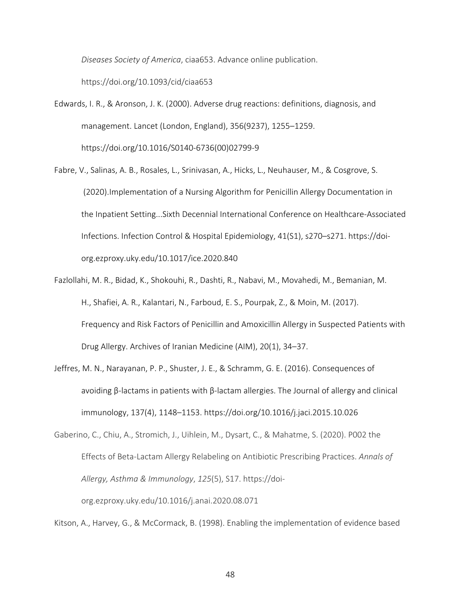*Diseases Society of America*, ciaa653. Advance online publication.

https://doi.org/10.1093/cid/ciaa653

- Edwards, I. R., & Aronson, J. K. (2000). Adverse drug reactions: definitions, diagnosis, and management. Lancet (London, England), 356(9237), 1255–1259. https://doi.org/10.1016/S0140-6736(00)02799-9
- Fabre, V., Salinas, A. B., Rosales, L., Srinivasan, A., Hicks, L., Neuhauser, M., & Cosgrove, S. (2020).Implementation of a Nursing Algorithm for Penicillin Allergy Documentation in the Inpatient Setting...Sixth Decennial International Conference on Healthcare-Associated Infections. Infection Control & Hospital Epidemiology, 41(S1), s270–s271. https://doiorg.ezproxy.uky.edu/10.1017/ice.2020.840
- Fazlollahi, M. R., Bidad, K., Shokouhi, R., Dashti, R., Nabavi, M., Movahedi, M., Bemanian, M. H., Shafiei, A. R., Kalantari, N., Farboud, E. S., Pourpak, Z., & Moin, M. (2017). Frequency and Risk Factors of Penicillin and Amoxicillin Allergy in Suspected Patients with Drug Allergy. Archives of Iranian Medicine (AIM), 20(1), 34–37.
- Jeffres, M. N., Narayanan, P. P., Shuster, J. E., & Schramm, G. E. (2016). Consequences of avoiding β-lactams in patients with β-lactam allergies. The Journal of allergy and clinical immunology, 137(4), 1148–1153. https://doi.org/10.1016/j.jaci.2015.10.026

Kitson, A., Harvey, G., & McCormack, B. (1998). Enabling the implementation of evidence based

Gaberino, C., Chiu, A., Stromich, J., Uihlein, M., Dysart, C., & Mahatme, S. (2020). P002 the Effects of Beta-Lactam Allergy Relabeling on Antibiotic Prescribing Practices. *Annals of Allergy, Asthma & Immunology*, *125*(5), S17. https://doiorg.ezproxy.uky.edu/10.1016/j.anai.2020.08.071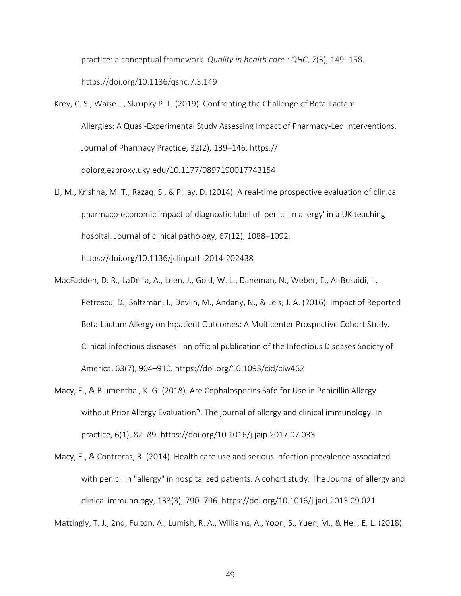practice: a conceptual framework. *Quality in health care : QHC*, *7*(3), 149–158. https://doi.org/10.1136/qshc.7.3.149

- Krey, C. S., Waise J., Skrupky P. L. (2019). Confronting the Challenge of Beta-Lactam Allergies: A Quasi-Experimental Study Assessing Impact of Pharmacy-Led Interventions. Journal of Pharmacy Practice, 32(2), 139–146. https:// doiorg.ezproxy.uky.edu/10.1177/0897190017743154
- Li, M., Krishna, M. T., Razaq, S., & Pillay, D. (2014). A real-time prospective evaluation of clinical pharmaco-economic impact of diagnostic label of 'penicillin allergy' in a UK teaching hospital. Journal of clinical pathology, 67(12), 1088–1092. https://doi.org/10.1136/jclinpath-2014-202438
- MacFadden, D. R., LaDelfa, A., Leen, J., Gold, W. L., Daneman, N., Weber, E., Al-Busaidi, I., Petrescu, D., Saltzman, I., Devlin, M., Andany, N., & Leis, J. A. (2016). Impact of Reported Beta-Lactam Allergy on Inpatient Outcomes: A Multicenter Prospective Cohort Study. Clinical infectious diseases : an official publication of the Infectious Diseases Society of America, 63(7), 904–910. https://doi.org/10.1093/cid/ciw462
- Macy, E., & Blumenthal, K. G. (2018). Are Cephalosporins Safe for Use in Penicillin Allergy without Prior Allergy Evaluation?. The journal of allergy and clinical immunology. In practice, 6(1), 82–89. https://doi.org/10.1016/j.jaip.2017.07.033
- Macy, E., & Contreras, R. (2014). Health care use and serious infection prevalence associated with penicillin "allergy" in hospitalized patients: A cohort study. The Journal of allergy and clinical immunology, 133(3), 790–796. https://doi.org/10.1016/j.jaci.2013.09.021

Mattingly, T. J., 2nd, Fulton, A., Lumish, R. A., Williams, A., Yoon, S., Yuen, M., & Heil, E. L. (2018).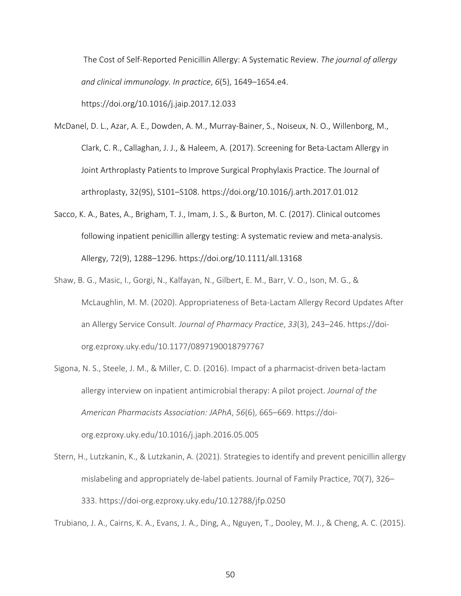The Cost of Self-Reported Penicillin Allergy: A Systematic Review. *The journal of allergy and clinical immunology. In practice*, *6*(5), 1649–1654.e4.

https://doi.org/10.1016/j.jaip.2017.12.033

- McDanel, D. L., Azar, A. E., Dowden, A. M., Murray-Bainer, S., Noiseux, N. O., Willenborg, M., Clark, C. R., Callaghan, J. J., & Haleem, A. (2017). Screening for Beta-Lactam Allergy in Joint Arthroplasty Patients to Improve Surgical Prophylaxis Practice. The Journal of arthroplasty, 32(9S), S101–S108. https://doi.org/10.1016/j.arth.2017.01.012
- Sacco, K. A., Bates, A., Brigham, T. J., Imam, J. S., & Burton, M. C. (2017). Clinical outcomes following inpatient penicillin allergy testing: A systematic review and meta-analysis. Allergy, 72(9), 1288–1296. https://doi.org/10.1111/all.13168
- Shaw, B. G., Masic, I., Gorgi, N., Kalfayan, N., Gilbert, E. M., Barr, V. O., Ison, M. G., & McLaughlin, M. M. (2020). Appropriateness of Beta-Lactam Allergy Record Updates After an Allergy Service Consult. *Journal of Pharmacy Practice*, *33*(3), 243–246. https://doiorg.ezproxy.uky.edu/10.1177/0897190018797767
- Sigona, N. S., Steele, J. M., & Miller, C. D. (2016). Impact of a pharmacist-driven beta-lactam allergy interview on inpatient antimicrobial therapy: A pilot project. *Journal of the American Pharmacists Association: JAPhA*, *56*(6), 665–669. https://doiorg.ezproxy.uky.edu/10.1016/j.japh.2016.05.005
- Stern, H., Lutzkanin, K., & Lutzkanin, A. (2021). Strategies to identify and prevent penicillin allergy mislabeling and appropriately de-label patients. Journal of Family Practice, 70(7), 326– 333. https://doi-org.ezproxy.uky.edu/10.12788/jfp.0250

Trubiano, J. A., Cairns, K. A., Evans, J. A., Ding, A., Nguyen, T., Dooley, M. J., & Cheng, A. C. (2015).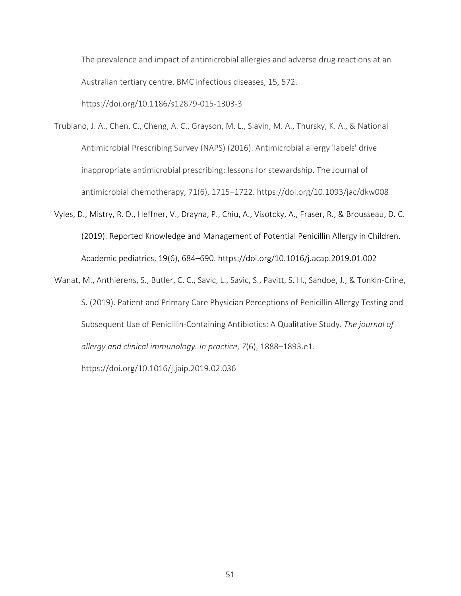The prevalence and impact of antimicrobial allergies and adverse drug reactions at an Australian tertiary centre. BMC infectious diseases, 15, 572.

https://doi.org/10.1186/s12879-015-1303-3

- Trubiano, J. A., Chen, C., Cheng, A. C., Grayson, M. L., Slavin, M. A., Thursky, K. A., & National Antimicrobial Prescribing Survey (NAPS) (2016). Antimicrobial allergy 'labels' drive inappropriate antimicrobial prescribing: lessons for stewardship. The Journal of antimicrobial chemotherapy, 71(6), 1715–1722. https://doi.org/10.1093/jac/dkw008
- Vyles, D., Mistry, R. D., Heffner, V., Drayna, P., Chiu, A., Visotcky, A., Fraser, R., & Brousseau, D. C. (2019). Reported Knowledge and Management of Potential Penicillin Allergy in Children. Academic pediatrics, 19(6), 684–690. https://doi.org/10.1016/j.acap.2019.01.002
- Wanat, M., Anthierens, S., Butler, C. C., Savic, L., Savic, S., Pavitt, S. H., Sandoe, J., & Tonkin-Crine, S. (2019). Patient and Primary Care Physician Perceptions of Penicillin Allergy Testing and Subsequent Use of Penicillin-Containing Antibiotics: A Qualitative Study. *The journal of allergy and clinical immunology. In practice*, *7*(6), 1888–1893.e1. https://doi.org/10.1016/j.jaip.2019.02.036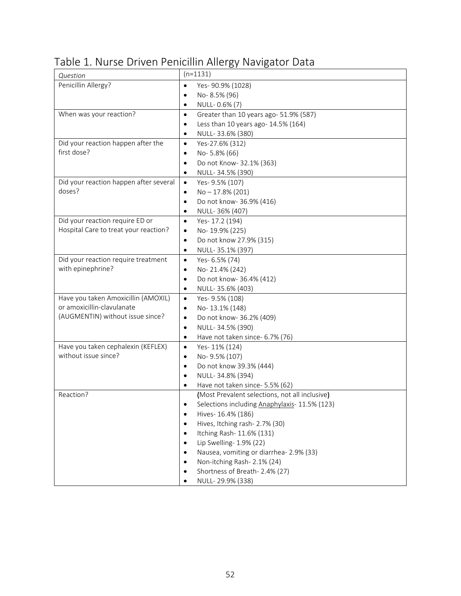| Question                               | $(n=1131)$                                          |
|----------------------------------------|-----------------------------------------------------|
| Penicillin Allergy?                    | $\bullet$<br>Yes- 90.9% (1028)                      |
|                                        | No-8.5% (96)<br>$\bullet$                           |
|                                        | NULL-0.6% (7)<br>$\bullet$                          |
| When was your reaction?                | Greater than 10 years ago- 51.9% (587)<br>$\bullet$ |
|                                        | Less than 10 years ago- 14.5% (164)<br>$\bullet$    |
|                                        | NULL-33.6% (380)<br>$\bullet$                       |
| Did your reaction happen after the     | $\bullet$<br>Yes-27.6% (312)                        |
| first dose?                            | No-5.8% (66)<br>$\bullet$                           |
|                                        | Do not Know- 32.1% (363)<br>$\bullet$               |
|                                        | NULL-34.5% (390)<br>٠                               |
| Did your reaction happen after several | Yes- 9.5% (107)<br>$\bullet$                        |
| doses?                                 | $No - 17.8\% (201)$<br>$\bullet$                    |
|                                        | Do not know-36.9% (416)<br>$\bullet$                |
|                                        | NULL-36% (407)<br>$\bullet$                         |
| Did your reaction require ED or        | Yes-17.2 (194)<br>$\bullet$                         |
| Hospital Care to treat your reaction?  | No-19.9% (225)<br>$\bullet$                         |
|                                        | Do not know 27.9% (315)<br>$\bullet$                |
|                                        | NULL-35.1% (397)<br>$\bullet$                       |
| Did your reaction require treatment    | Yes- 6.5% (74)<br>$\bullet$                         |
| with epinephrine?                      | No-21.4% (242)<br>$\bullet$                         |
|                                        | Do not know-36.4% (412)<br>$\bullet$                |
|                                        | NULL-35.6% (403)<br>$\bullet$                       |
| Have you taken Amoxicillin (AMOXIL)    | Yes- 9.5% (108)<br>$\bullet$                        |
| or amoxicillin-clavulanate             | No-13.1% (148)<br>$\bullet$                         |
| (AUGMENTIN) without issue since?       | Do not know-36.2% (409)<br>$\bullet$                |
|                                        | NULL-34.5% (390)<br>$\bullet$                       |
|                                        | Have not taken since- 6.7% (76)<br>$\bullet$        |
| Have you taken cephalexin (KEFLEX)     | $\bullet$<br>Yes-11% (124)                          |
| without issue since?                   | No-9.5% (107)<br>$\bullet$                          |
|                                        | Do not know 39.3% (444)<br>$\bullet$                |
|                                        | NULL-34.8% (394)<br>$\bullet$                       |
|                                        | Have not taken since- 5.5% (62)<br>$\bullet$        |
| Reaction?                              | (Most Prevalent selections, not all inclusive)      |
|                                        | Selections including Anaphylaxis- 11.5% (123)       |
|                                        | Hives- 16.4% (186)                                  |
|                                        | Hives, Itching rash- 2.7% (30)                      |
|                                        | Itching Rash- 11.6% (131)                           |
|                                        | Lip Swelling- 1.9% (22)                             |
|                                        | Nausea, vomiting or diarrhea-2.9% (33)              |
|                                        | Non-itching Rash-2.1% (24)                          |
|                                        | Shortness of Breath-2.4% (27)                       |
|                                        | NULL-29.9% (338)                                    |

# <span id="page-52-0"></span>Table 1. Nurse Driven Penicillin Allergy Navigator Data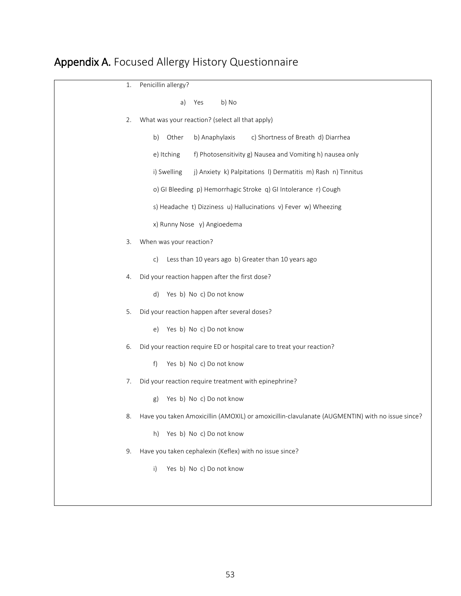# <span id="page-53-0"></span>Appendix A. Focused Allergy History Questionnaire

| 1. | Penicillin allergy?                                                                             |
|----|-------------------------------------------------------------------------------------------------|
|    | b) No<br>Yes<br>a)                                                                              |
| 2. | What was your reaction? (select all that apply)                                                 |
|    | b) Anaphylaxis<br>c) Shortness of Breath d) Diarrhea<br>b)<br>Other                             |
|    | f) Photosensitivity g) Nausea and Vomiting h) nausea only<br>e) Itching                         |
|    | j) Anxiety k) Palpitations I) Dermatitis m) Rash n) Tinnitus<br>i) Swelling                     |
|    | o) GI Bleeding p) Hemorrhagic Stroke q) GI Intolerance r) Cough                                 |
|    | s) Headache t) Dizziness u) Hallucinations v) Fever w) Wheezing                                 |
|    | x) Runny Nose y) Angioedema                                                                     |
| 3. | When was your reaction?                                                                         |
|    | Less than 10 years ago b) Greater than 10 years ago<br>c)                                       |
| 4. | Did your reaction happen after the first dose?                                                  |
|    | Yes b) No c) Do not know<br>d)                                                                  |
| 5. | Did your reaction happen after several doses?                                                   |
|    | Yes b) No c) Do not know<br>e)                                                                  |
| 6. | Did your reaction require ED or hospital care to treat your reaction?                           |
|    | f)<br>Yes b) No c) Do not know                                                                  |
| 7. | Did your reaction require treatment with epinephrine?                                           |
|    | Yes b) No c) Do not know<br>g)                                                                  |
|    | Have you taken Amoxicillin (AMOXIL) or amoxicillin-clavulanate (AUGMENTIN) with no issue since? |
|    | Yes b) No c) Do not know<br>h)                                                                  |
| 9. | Have you taken cephalexin (Keflex) with no issue since?                                         |
|    | Yes b) No c) Do not know<br>i)                                                                  |
|    |                                                                                                 |
|    |                                                                                                 |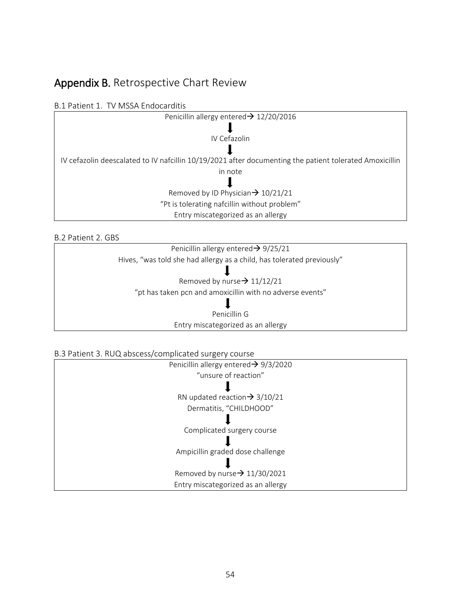# <span id="page-54-0"></span>Appendix B. Retrospective Chart Review

B.1 Patient 1. TV MSSA Endocarditis



B.2 Patient 2. GBS

Penicillin allergy entered  $\rightarrow$  9/25/21 Hives, "was told she had allergy as a child, has tolerated previously"

Removed by nurse $\rightarrow$  11/12/21 "pt has taken pcn and amoxicillin with no adverse events"

ш

н

Penicillin G Entry miscategorized as an allergy

B.3 Patient 3. RUQ abscess/complicated surgery course

| Penicillin allergy entered $\rightarrow$ 9/3/2020 |
|---------------------------------------------------|
| "unsure of reaction"                              |
|                                                   |
| RN updated reaction $\rightarrow$ 3/10/21         |
| Dermatitis, "CHILDHOOD"                           |
|                                                   |
| Complicated surgery course                        |
|                                                   |
| Ampicillin graded dose challenge                  |
|                                                   |
| Removed by nurse $\rightarrow$ 11/30/2021         |
| Entry miscategorized as an allergy                |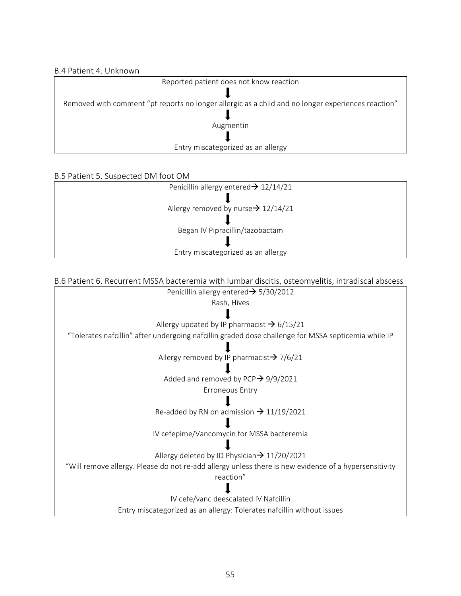#### B.4 Patient 4. Unknown

| Reported patient does not know reaction                                                            |  |  |
|----------------------------------------------------------------------------------------------------|--|--|
|                                                                                                    |  |  |
| Removed with comment "pt reports no longer allergic as a child and no longer experiences reaction" |  |  |
|                                                                                                    |  |  |
| Augmentin                                                                                          |  |  |
|                                                                                                    |  |  |
| Entry miscategorized as an allergy                                                                 |  |  |

#### B.5 Patient 5. Suspected DM foot OM

| Penicillin allergy entered $\rightarrow$ 12/14/21 |
|---------------------------------------------------|
|                                                   |
| Allergy removed by nurse $\rightarrow$ 12/14/21   |
|                                                   |
| Began IV Pipracillin/tazobactam                   |
|                                                   |
| Entry miscategorized as an allergy                |
|                                                   |

#### B.6 Patient 6. Recurrent MSSA bacteremia with lumbar discitis, osteomyelitis, intradiscal abscess

Penicillin allergy entered $\rightarrow$  5/30/2012 Rash, Hives l Allergy updated by IP pharmacist  $\rightarrow$  6/15/21 "Tolerates nafcillin" after undergoing nafcillin graded dose challenge for MSSA septicemia while IP

Allergy removed by IP pharmacist $\rightarrow$  7/6/21

Added and removed by PCP $\rightarrow$  9/9/2021 Erroneous Entry

Re-added by RN on admission  $\rightarrow$  11/19/2021

IV cefepime/Vancomycin for MSSA bacteremia

L Allergy deleted by ID Physician  $\rightarrow$  11/20/2021

"Will remove allergy. Please do not re-add allergy unless there is new evidence of a hypersensitivity

reaction" L

IV cefe/vanc deescalated IV Nafcillin Entry miscategorized as an allergy: Tolerates nafcillin without issues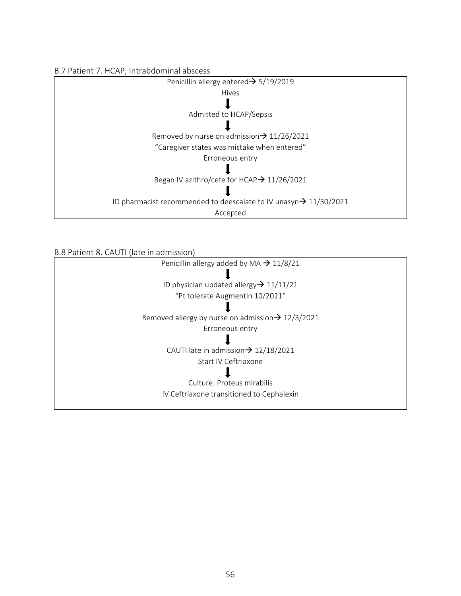



B.8 Patient 8. CAUTI (late in admission)

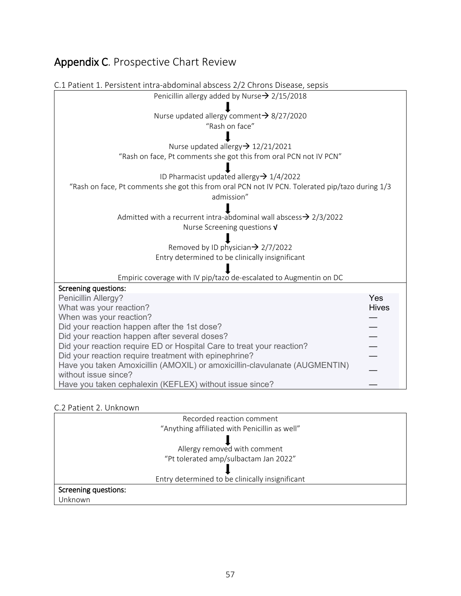# <span id="page-57-0"></span>Appendix C. Prospective Chart Review

| C.1 Patient 1. Persistent intra-abdominal abscess 2/2 Chrons Disease, sepsis                    |              |  |
|-------------------------------------------------------------------------------------------------|--------------|--|
| Penicillin allergy added by Nurse $\rightarrow$ 2/15/2018                                       |              |  |
|                                                                                                 |              |  |
| Nurse updated allergy comment $\rightarrow$ 8/27/2020                                           |              |  |
| "Rash on face"                                                                                  |              |  |
|                                                                                                 |              |  |
| Nurse updated allergy→ 12/21/2021                                                               |              |  |
| "Rash on face, Pt comments she got this from oral PCN not IV PCN"                               |              |  |
| ID Pharmacist updated allergy $\rightarrow$ 1/4/2022                                            |              |  |
| "Rash on face, Pt comments she got this from oral PCN not IV PCN. Tolerated pip/tazo during 1/3 |              |  |
| admission"                                                                                      |              |  |
|                                                                                                 |              |  |
| Admitted with a recurrent intra-abdominal wall abscess $\rightarrow$ 2/3/2022                   |              |  |
| Nurse Screening questions V                                                                     |              |  |
|                                                                                                 |              |  |
| Removed by ID physician $\rightarrow$ 2/7/2022                                                  |              |  |
| Entry determined to be clinically insignificant                                                 |              |  |
|                                                                                                 |              |  |
| Empiric coverage with IV pip/tazo de-escalated to Augmentin on DC                               |              |  |
| <b>Screening questions:</b>                                                                     |              |  |
| Penicillin Allergy?                                                                             | Yes          |  |
| What was your reaction?                                                                         | <b>Hives</b> |  |
| When was your reaction?                                                                         |              |  |
| Did your reaction happen after the 1st dose?<br>Did your reaction happen after several doses?   |              |  |
| Did your reaction require ED or Hospital Care to treat your reaction?                           |              |  |
| Did your reaction require treatment with epinephrine?                                           |              |  |
| Have you taken Amoxicillin (AMOXIL) or amoxicillin-clavulanate (AUGMENTIN)                      |              |  |
| without issue since?                                                                            |              |  |
| Have you taken cephalexin (KEFLEX) without issue since?                                         |              |  |

#### C.2 Patient 2. Unknown

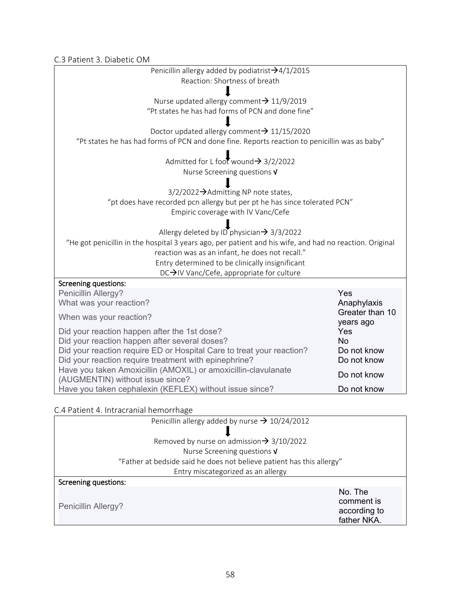C.3 Patient 3. Diabetic OM

| C.J I ALICIIL J. DIADELIC ONI                                                                           |                              |  |  |  |
|---------------------------------------------------------------------------------------------------------|------------------------------|--|--|--|
| Penicillin allergy added by podiatrist $\rightarrow$ 4/1/2015                                           |                              |  |  |  |
| Reaction: Shortness of breath                                                                           |                              |  |  |  |
|                                                                                                         |                              |  |  |  |
| Nurse updated allergy comment→ 11/9/2019                                                                |                              |  |  |  |
| "Pt states he has had forms of PCN and done fine"                                                       |                              |  |  |  |
|                                                                                                         |                              |  |  |  |
| Doctor updated allergy comment $\rightarrow$ 11/15/2020                                                 |                              |  |  |  |
| "Pt states he has had forms of PCN and done fine. Reports reaction to penicillin was as baby"           |                              |  |  |  |
|                                                                                                         |                              |  |  |  |
| Admitted for L foot wound $\rightarrow$ 3/2/2022<br>Nurse Screening questions V                         |                              |  |  |  |
|                                                                                                         |                              |  |  |  |
| 3/2/2022→Admitting NP note states,                                                                      |                              |  |  |  |
| "pt does have recorded pcn allergy but per pt he has since tolerated PCN"                               |                              |  |  |  |
| Empiric coverage with IV Vanc/Cefe                                                                      |                              |  |  |  |
|                                                                                                         |                              |  |  |  |
| Allergy deleted by ID physician $\rightarrow$ 3/3/2022                                                  |                              |  |  |  |
| "He got penicillin in the hospital 3 years ago, per patient and his wife, and had no reaction. Original |                              |  |  |  |
| reaction was as an infant, he does not recall."                                                         |                              |  |  |  |
| Entry determined to be clinically insignificant                                                         |                              |  |  |  |
| DC→IV Vanc/Cefe, appropriate for culture                                                                |                              |  |  |  |
| Screening questions:                                                                                    |                              |  |  |  |
| Penicillin Allergy?                                                                                     | Yes                          |  |  |  |
| What was your reaction?                                                                                 | Anaphylaxis                  |  |  |  |
| When was your reaction?                                                                                 | Greater than 10<br>years ago |  |  |  |
| Did your reaction happen after the 1st dose?                                                            | Yes                          |  |  |  |
| Did your reaction happen after several doses?                                                           | <b>No</b>                    |  |  |  |
| Did your reaction require ED or Hospital Care to treat your reaction?                                   | Do not know                  |  |  |  |
| Did your reaction require treatment with epinephrine?                                                   | Do not know                  |  |  |  |
| Have you taken Amoxicillin (AMOXIL) or amoxicillin-clavulanate                                          | Do not know                  |  |  |  |
| (AUGMENTIN) without issue since?                                                                        |                              |  |  |  |
| Have you taken cephalexin (KEFLEX) without issue since?                                                 | Do not know                  |  |  |  |
|                                                                                                         |                              |  |  |  |

# C.4 Patient 4. Intracranial hemorrhage

| Penicillin allergy added by nurse $\rightarrow$ 10/24/2012            |                                                      |  |
|-----------------------------------------------------------------------|------------------------------------------------------|--|
|                                                                       |                                                      |  |
| Removed by nurse on admission $\rightarrow$ 3/10/2022                 |                                                      |  |
| Nurse Screening questions $V$                                         |                                                      |  |
| "Father at bedside said he does not believe patient has this allergy" |                                                      |  |
| Entry miscategorized as an allergy                                    |                                                      |  |
| Screening questions:                                                  |                                                      |  |
| Penicillin Allergy?                                                   | No. The<br>comment is<br>according to<br>father NKA. |  |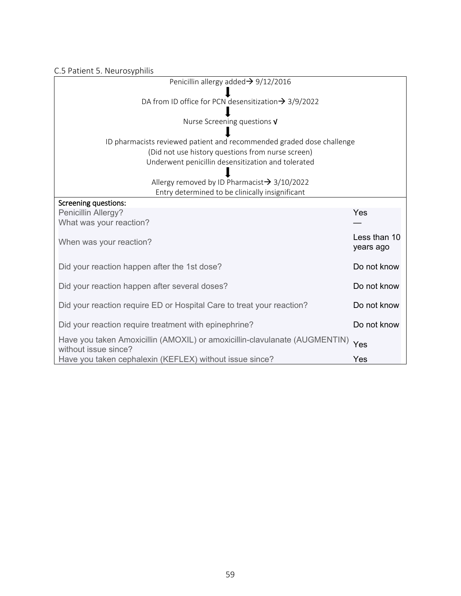| Penicillin allergy added $\rightarrow$ 9/12/2016                                                   |                           |
|----------------------------------------------------------------------------------------------------|---------------------------|
| DA from ID office for PCN desensitization $\rightarrow$ 3/9/2022                                   |                           |
|                                                                                                    |                           |
| Nurse Screening questions $V$                                                                      |                           |
| ID pharmacists reviewed patient and recommended graded dose challenge                              |                           |
| (Did not use history questions from nurse screen)                                                  |                           |
| Underwent penicillin desensitization and tolerated                                                 |                           |
|                                                                                                    |                           |
| Allergy removed by ID Pharmacist $\rightarrow$ 3/10/2022                                           |                           |
| Entry determined to be clinically insignificant                                                    |                           |
| <b>Screening questions:</b>                                                                        |                           |
| Penicillin Allergy?                                                                                | Yes                       |
| What was your reaction?                                                                            |                           |
| When was your reaction?                                                                            | Less than 10<br>years ago |
| Did your reaction happen after the 1st dose?                                                       | Do not know               |
| Did your reaction happen after several doses?                                                      | Do not know               |
| Did your reaction require ED or Hospital Care to treat your reaction?                              | Do not know               |
| Did your reaction require treatment with epinephrine?                                              | Do not know               |
| Have you taken Amoxicillin (AMOXIL) or amoxicillin-clavulanate (AUGMENTIN)<br>without issue since? | Yes                       |
| Have you taken cephalexin (KEFLEX) without issue since?                                            | Yes                       |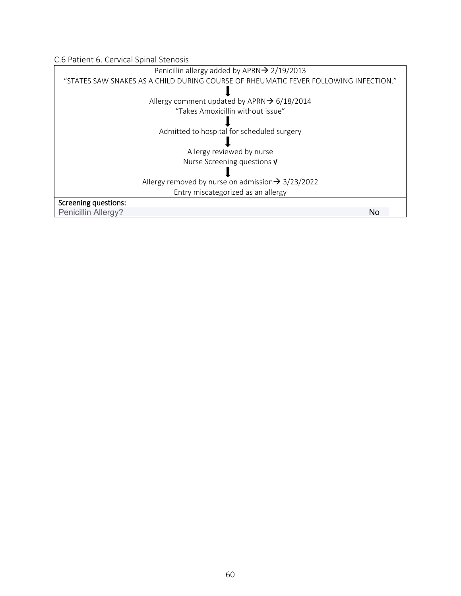C.6 Patient 6. Cervical Spinal Stenosis

| Penicillin allergy added by APRN → 2/19/2013                                         |    |
|--------------------------------------------------------------------------------------|----|
| "STATES SAW SNAKES AS A CHILD DURING COURSE OF RHEUMATIC FEVER FOLLOWING INFECTION." |    |
|                                                                                      |    |
| Allergy comment updated by APRN $\rightarrow$ 6/18/2014                              |    |
| "Takes Amoxicillin without issue"                                                    |    |
|                                                                                      |    |
| Admitted to hospital for scheduled surgery                                           |    |
|                                                                                      |    |
| Allergy reviewed by nurse                                                            |    |
| Nurse Screening questions $V$                                                        |    |
|                                                                                      |    |
| Allergy removed by nurse on admission $\rightarrow$ 3/23/2022                        |    |
| Entry miscategorized as an allergy                                                   |    |
| Screening questions:                                                                 |    |
| Penicillin Allergy?                                                                  | No |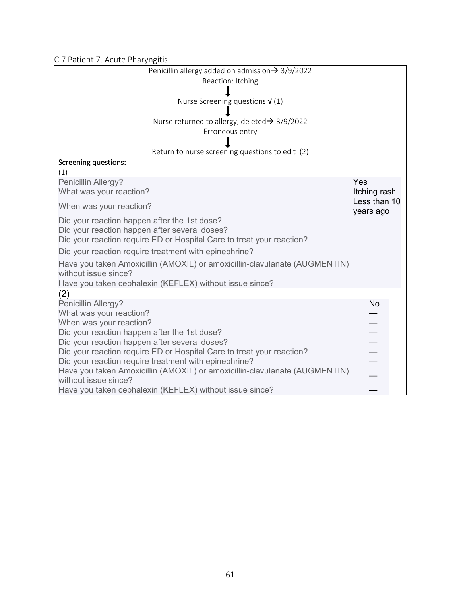C.7 Patient 7. Acute Pharyngitis

| Penicillin allergy added on admission $\rightarrow$ 3/9/2022                                       |                           |
|----------------------------------------------------------------------------------------------------|---------------------------|
| Reaction: Itching                                                                                  |                           |
|                                                                                                    |                           |
| Nurse Screening questions $V(1)$                                                                   |                           |
|                                                                                                    |                           |
| Nurse returned to allergy, deleted $\rightarrow$ 3/9/2022<br>Erroneous entry                       |                           |
|                                                                                                    |                           |
| Return to nurse screening questions to edit (2)                                                    |                           |
| <b>Screening questions:</b>                                                                        |                           |
| (1)                                                                                                |                           |
| Penicillin Allergy?                                                                                | Yes                       |
| What was your reaction?                                                                            | Itching rash              |
| When was your reaction?                                                                            | Less than 10<br>years ago |
| Did your reaction happen after the 1st dose?                                                       |                           |
| Did your reaction happen after several doses?                                                      |                           |
| Did your reaction require ED or Hospital Care to treat your reaction?                              |                           |
| Did your reaction require treatment with epinephrine?                                              |                           |
| Have you taken Amoxicillin (AMOXIL) or amoxicillin-clavulanate (AUGMENTIN)                         |                           |
| without issue since?                                                                               |                           |
| Have you taken cephalexin (KEFLEX) without issue since?                                            |                           |
| (2)                                                                                                | <b>No</b>                 |
| Penicillin Allergy?<br>What was your reaction?                                                     |                           |
| When was your reaction?                                                                            |                           |
| Did your reaction happen after the 1st dose?                                                       |                           |
| Did your reaction happen after several doses?                                                      |                           |
| Did your reaction require ED or Hospital Care to treat your reaction?                              |                           |
| Did your reaction require treatment with epinephrine?                                              |                           |
| Have you taken Amoxicillin (AMOXIL) or amoxicillin-clavulanate (AUGMENTIN)<br>without issue since? |                           |
| Have you taken cephalexin (KEFLEX) without issue since?                                            |                           |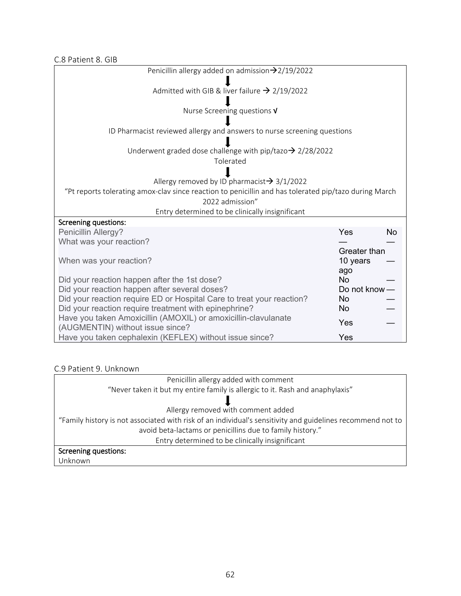C.8 Patient 8. GIB

| Penicillin allergy added on admission $\rightarrow$ 2/19/2022                                                                                                    |                          |           |
|------------------------------------------------------------------------------------------------------------------------------------------------------------------|--------------------------|-----------|
| Admitted with GIB & liver failure $\rightarrow$ 2/19/2022                                                                                                        |                          |           |
| Nurse Screening questions V                                                                                                                                      |                          |           |
| ID Pharmacist reviewed allergy and answers to nurse screening questions                                                                                          |                          |           |
| Underwent graded dose challenge with pip/tazo $\rightarrow$ 2/28/2022                                                                                            |                          |           |
| Tolerated                                                                                                                                                        |                          |           |
| Allergy removed by ID pharmacist $\rightarrow$ 3/1/2022<br>"Pt reports tolerating amox-clav since reaction to penicillin and has tolerated pip/tazo during March |                          |           |
| 2022 admission"                                                                                                                                                  |                          |           |
| Entry determined to be clinically insignificant                                                                                                                  |                          |           |
| Screening questions:<br>Penicillin Allergy?                                                                                                                      | Yes                      | <b>No</b> |
| What was your reaction?                                                                                                                                          |                          |           |
| When was your reaction?                                                                                                                                          | Greater than<br>10 years |           |
| Did your reaction happen after the 1st dose?                                                                                                                     | ago<br><b>No</b>         |           |
| Did your reaction happen after several doses?<br>Did your reaction require ED or Hospital Care to treat your reaction?                                           | Do not know $-$<br>No.   |           |
| Did your reaction require treatment with epinephrine?                                                                                                            | <b>No</b>                |           |
| Have you taken Amoxicillin (AMOXIL) or amoxicillin-clavulanate<br>(AUGMENTIN) without issue since?                                                               | Yes                      |           |
|                                                                                                                                                                  |                          |           |

### C.9 Patient 9. Unknown

| Penicillin allergy added with comment                                                                      |
|------------------------------------------------------------------------------------------------------------|
| "Never taken it but my entire family is allergic to it. Rash and anaphylaxis"                              |
|                                                                                                            |
| Allergy removed with comment added                                                                         |
| "Family history is not associated with risk of an individual's sensitivity and guidelines recommend not to |
| avoid beta-lactams or penicillins due to family history."                                                  |
| Entry determined to be clinically insignificant                                                            |
| Screening questions:                                                                                       |
| Unknown                                                                                                    |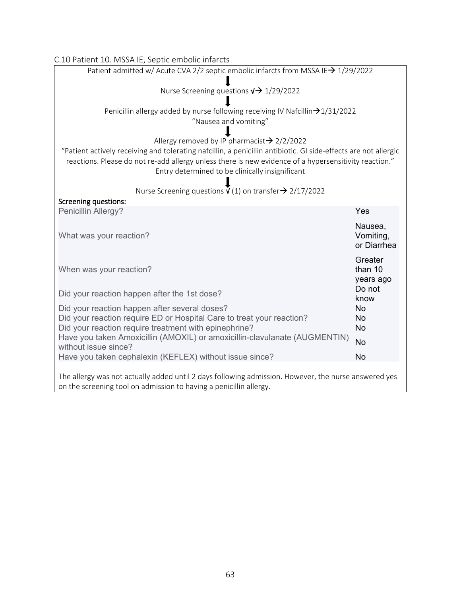| C.10 Patient 10. MSSA IE, Septic embolic infarcts                                                                                                                                                                                                                           |                                     |  |
|-----------------------------------------------------------------------------------------------------------------------------------------------------------------------------------------------------------------------------------------------------------------------------|-------------------------------------|--|
| Patient admitted w/ Acute CVA 2/2 septic embolic infarcts from MSSA IE→ 1/29/2022                                                                                                                                                                                           |                                     |  |
| Nurse Screening questions $\sqrt{2}$ 1/29/2022                                                                                                                                                                                                                              |                                     |  |
| Penicillin allergy added by nurse following receiving IV Nafcillin $\rightarrow$ 1/31/2022<br>"Nausea and vomiting"                                                                                                                                                         |                                     |  |
| Allergy removed by IP pharmacist $\rightarrow$ 2/2/2022                                                                                                                                                                                                                     |                                     |  |
| "Patient actively receiving and tolerating nafcillin, a penicillin antibiotic. GI side-effects are not allergic<br>reactions. Please do not re-add allergy unless there is new evidence of a hypersensitivity reaction."<br>Entry determined to be clinically insignificant |                                     |  |
| Nurse Screening questions $\dot{V}$ (1) on transfer $\rightarrow$ 2/17/2022                                                                                                                                                                                                 |                                     |  |
| <b>Screening questions:</b>                                                                                                                                                                                                                                                 |                                     |  |
| Penicillin Allergy?                                                                                                                                                                                                                                                         | Yes                                 |  |
| What was your reaction?                                                                                                                                                                                                                                                     | Nausea,<br>Vomiting,<br>or Diarrhea |  |
| When was your reaction?                                                                                                                                                                                                                                                     | Greater<br>than 10<br>years ago     |  |
| Did your reaction happen after the 1st dose?                                                                                                                                                                                                                                | Do not<br>know                      |  |
| Did your reaction happen after several doses?                                                                                                                                                                                                                               | No                                  |  |
| Did your reaction require ED or Hospital Care to treat your reaction?                                                                                                                                                                                                       | No                                  |  |
| Did your reaction require treatment with epinephrine?                                                                                                                                                                                                                       | <b>No</b>                           |  |
| Have you taken Amoxicillin (AMOXIL) or amoxicillin-clavulanate (AUGMENTIN)<br>without issue since?                                                                                                                                                                          | <b>No</b>                           |  |
| Have you taken cephalexin (KEFLEX) without issue since?                                                                                                                                                                                                                     | <b>No</b>                           |  |
| The allergy was not actually added until 2 days following admission. However, the nurse answered yes<br>on the screening tool on admission to having a penicillin allergy.                                                                                                  |                                     |  |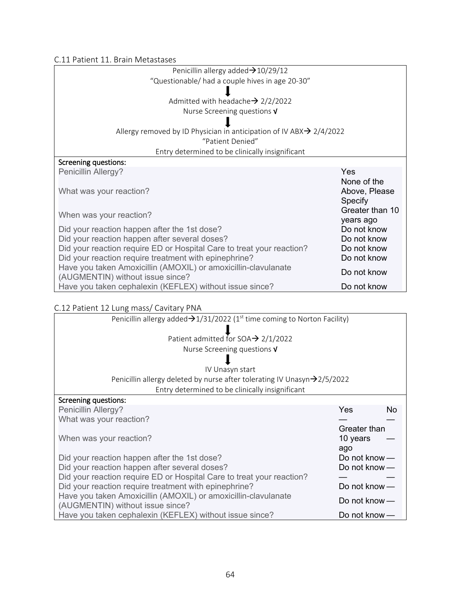C.11 Patient 11. Brain Metastases

| Penicillin allergy added $\rightarrow$ 10/29/12                                                    |                                         |
|----------------------------------------------------------------------------------------------------|-----------------------------------------|
| "Questionable/ had a couple hives in age 20-30"                                                    |                                         |
|                                                                                                    |                                         |
| Admitted with headache $\rightarrow$ 2/2/2022                                                      |                                         |
| Nurse Screening questions $V$                                                                      |                                         |
|                                                                                                    |                                         |
| Allergy removed by ID Physician in anticipation of IV ABX $\rightarrow$ 2/4/2022                   |                                         |
| "Patient Denied"                                                                                   |                                         |
| Entry determined to be clinically insignificant                                                    |                                         |
| Screening questions:                                                                               |                                         |
| Penicillin Allergy?                                                                                | Yes                                     |
| What was your reaction?                                                                            | None of the<br>Above, Please<br>Specify |
| When was your reaction?                                                                            | Greater than 10<br>years ago            |
| Did your reaction happen after the 1st dose?                                                       | Do not know                             |
| Did your reaction happen after several doses?                                                      | Do not know                             |
| Did your reaction require ED or Hospital Care to treat your reaction?                              | Do not know                             |
| Did your reaction require treatment with epinephrine?                                              | Do not know                             |
| Have you taken Amoxicillin (AMOXIL) or amoxicillin-clavulanate<br>(AUGMENTIN) without issue since? | Do not know                             |
| Have you taken cephalexin (KEFLEX) without issue since?                                            | Do not know                             |

# C.12 Patient 12 Lung mass/ Cavitary PNA

| Penicillin allergy added $\rightarrow$ 1/31/2022 (1 <sup>st</sup> time coming to Norton Facility) |                 |           |
|---------------------------------------------------------------------------------------------------|-----------------|-----------|
|                                                                                                   |                 |           |
| Patient admitted for SOA $\rightarrow$ 2/1/2022                                                   |                 |           |
| Nurse Screening questions $V$                                                                     |                 |           |
|                                                                                                   |                 |           |
| IV Unasyn start                                                                                   |                 |           |
| Penicillin allergy deleted by nurse after tolerating IV Unasyn $\rightarrow$ 2/5/2022             |                 |           |
| Entry determined to be clinically insignificant                                                   |                 |           |
| Screening questions:                                                                              |                 |           |
| Penicillin Allergy?                                                                               | Yes             | <b>No</b> |
| What was your reaction?                                                                           |                 |           |
|                                                                                                   | Greater than    |           |
| When was your reaction?                                                                           | 10 years        |           |
|                                                                                                   | ago             |           |
| Did your reaction happen after the 1st dose?                                                      | Do not know $-$ |           |
| Did your reaction happen after several doses?                                                     | Do not know $-$ |           |
| Did your reaction require ED or Hospital Care to treat your reaction?                             |                 |           |
| Did your reaction require treatment with epinephrine?                                             | Do not know $-$ |           |
| Have you taken Amoxicillin (AMOXIL) or amoxicillin-clavulanate                                    | Do not know $-$ |           |
| (AUGMENTIN) without issue since?                                                                  |                 |           |
| Have you taken cephalexin (KEFLEX) without issue since?                                           | Do not know $-$ |           |